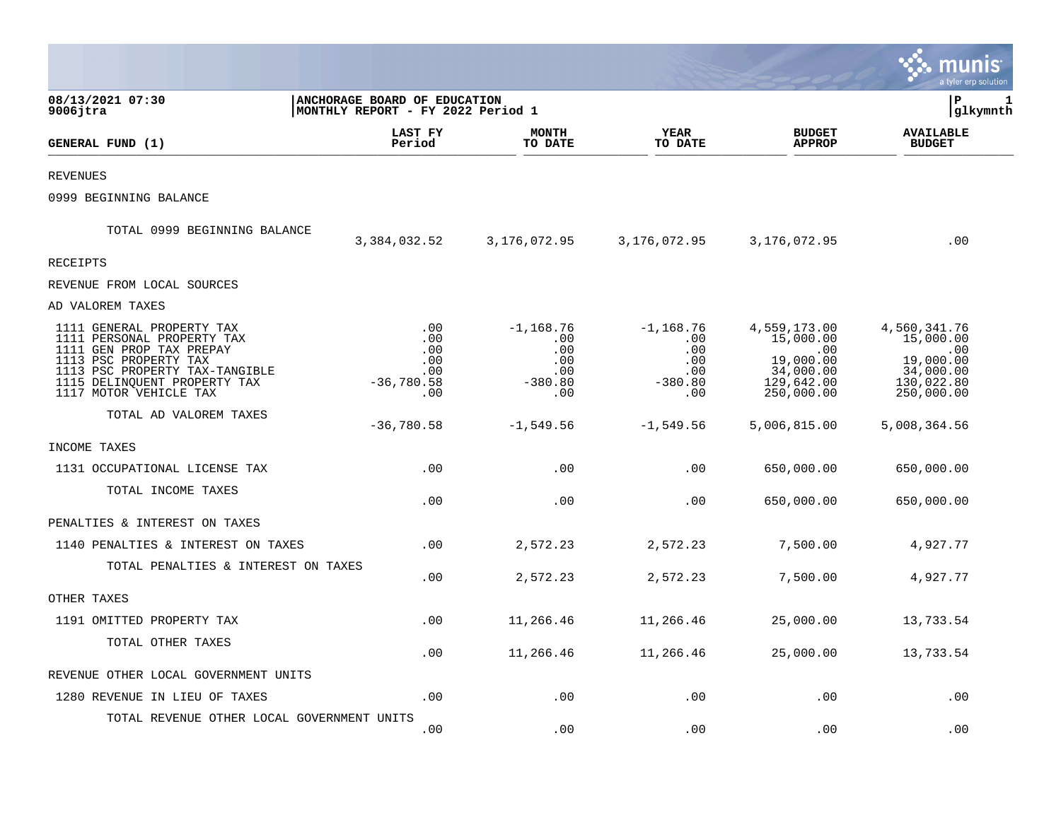|                                                                                                                                                                                                          |                                                                           |                                                              |                                                             |                                                                                        | munis<br>a tyler erp solution                                                                  |   |
|----------------------------------------------------------------------------------------------------------------------------------------------------------------------------------------------------------|---------------------------------------------------------------------------|--------------------------------------------------------------|-------------------------------------------------------------|----------------------------------------------------------------------------------------|------------------------------------------------------------------------------------------------|---|
| 08/13/2021 07:30<br>$9006$ jtra                                                                                                                                                                          | <b>ANCHORAGE BOARD OF EDUCATION</b><br> MONTHLY REPORT - FY 2022 Period 1 |                                                              |                                                             |                                                                                        | lР<br> glkymnth                                                                                | 1 |
| GENERAL FUND (1)                                                                                                                                                                                         | LAST FY<br>Period                                                         | <b>MONTH</b><br>TO DATE                                      | YEAR<br>TO DATE                                             | <b>BUDGET</b><br><b>APPROP</b>                                                         | <b>AVAILABLE</b><br><b>BUDGET</b>                                                              |   |
| <b>REVENUES</b>                                                                                                                                                                                          |                                                                           |                                                              |                                                             |                                                                                        |                                                                                                |   |
| 0999 BEGINNING BALANCE                                                                                                                                                                                   |                                                                           |                                                              |                                                             |                                                                                        |                                                                                                |   |
| TOTAL 0999 BEGINNING BALANCE                                                                                                                                                                             | 3,384,032.52                                                              | 3,176,072.95                                                 | 3,176,072.95                                                | 3,176,072.95                                                                           | .00                                                                                            |   |
| RECEIPTS                                                                                                                                                                                                 |                                                                           |                                                              |                                                             |                                                                                        |                                                                                                |   |
| REVENUE FROM LOCAL SOURCES                                                                                                                                                                               |                                                                           |                                                              |                                                             |                                                                                        |                                                                                                |   |
| AD VALOREM TAXES                                                                                                                                                                                         |                                                                           |                                                              |                                                             |                                                                                        |                                                                                                |   |
| 1111 GENERAL PROPERTY TAX<br>1111 PERSONAL PROPERTY TAX<br>1111 GEN PROP TAX PREPAY<br>1113 PSC PROPERTY TAX<br>1113 PSC PROPERTY TAX-TANGIBLE<br>1115 DELINQUENT PROPERTY TAX<br>1117 MOTOR VEHICLE TAX | .00<br>.00<br>.00<br>.00<br>.00<br>$-36,780.58$<br>.00                    | $-1, 168.76$<br>.00<br>.00<br>.00<br>.00<br>$-380.80$<br>.00 | $-1,168.76$<br>.00<br>.00<br>.00<br>.00<br>$-380.80$<br>.00 | 4,559,173.00<br>15,000.00<br>.00<br>19,000.00<br>34,000.00<br>129,642.00<br>250,000.00 | 4,560,341.76<br>15,000.00<br>$\ldots$ 00<br>19,000.00<br>34,000.00<br>130,022.80<br>250,000.00 |   |
| TOTAL AD VALOREM TAXES                                                                                                                                                                                   | $-36,780.58$                                                              | $-1,549.56$                                                  | $-1,549.56$                                                 | 5,006,815.00                                                                           | 5,008,364.56                                                                                   |   |
| INCOME TAXES                                                                                                                                                                                             |                                                                           |                                                              |                                                             |                                                                                        |                                                                                                |   |
| 1131 OCCUPATIONAL LICENSE TAX                                                                                                                                                                            | .00                                                                       | .00                                                          | .00                                                         | 650,000.00                                                                             | 650,000.00                                                                                     |   |
| TOTAL INCOME TAXES                                                                                                                                                                                       | .00                                                                       | .00                                                          | .00                                                         | 650,000.00                                                                             | 650,000.00                                                                                     |   |
| PENALTIES & INTEREST ON TAXES                                                                                                                                                                            |                                                                           |                                                              |                                                             |                                                                                        |                                                                                                |   |
| 1140 PENALTIES & INTEREST ON TAXES                                                                                                                                                                       | .00                                                                       | 2,572.23                                                     | 2,572.23                                                    | 7,500.00                                                                               | 4,927.77                                                                                       |   |
| TOTAL PENALTIES & INTEREST ON TAXES                                                                                                                                                                      | .00                                                                       | 2,572.23                                                     | 2,572.23                                                    | 7,500.00                                                                               | 4,927.77                                                                                       |   |
| OTHER TAXES                                                                                                                                                                                              |                                                                           |                                                              |                                                             |                                                                                        |                                                                                                |   |
| 1191 OMITTED PROPERTY TAX                                                                                                                                                                                | .00                                                                       | 11,266.46                                                    | 11,266.46                                                   | 25,000.00                                                                              | 13,733.54                                                                                      |   |
| TOTAL OTHER TAXES                                                                                                                                                                                        | .00                                                                       | 11,266.46                                                    | 11,266.46                                                   | 25,000.00                                                                              | 13,733.54                                                                                      |   |
| REVENUE OTHER LOCAL GOVERNMENT UNITS                                                                                                                                                                     |                                                                           |                                                              |                                                             |                                                                                        |                                                                                                |   |
| 1280 REVENUE IN LIEU OF TAXES                                                                                                                                                                            | .00                                                                       | .00                                                          | .00                                                         | .00                                                                                    | .00                                                                                            |   |
| TOTAL REVENUE OTHER LOCAL GOVERNMENT UNITS                                                                                                                                                               | .00                                                                       | .00                                                          | .00                                                         | .00                                                                                    | .00                                                                                            |   |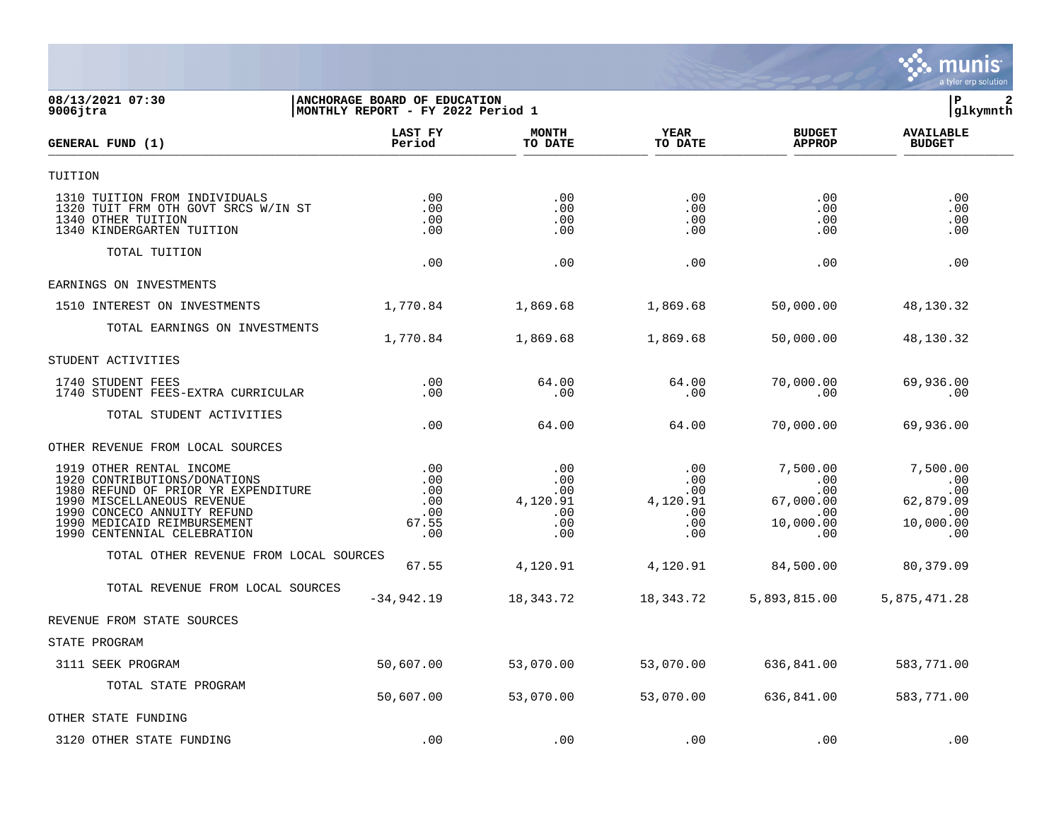

## **08/13/2021 07:30 |ANCHORAGE BOARD OF EDUCATION |P 2 9006jtra |MONTHLY REPORT - FY 2022 Period 1 |glkymnth**

| GENERAL FUND (1)                                                                                                                                                                                                           | LAST FY<br>Period                               | <b>MONTH</b><br>TO DATE                            | <b>YEAR</b><br>TO DATE                             | <b>BUDGET</b><br><b>APPROP</b>                                      | <b>AVAILABLE</b><br><b>BUDGET</b>                                           |  |
|----------------------------------------------------------------------------------------------------------------------------------------------------------------------------------------------------------------------------|-------------------------------------------------|----------------------------------------------------|----------------------------------------------------|---------------------------------------------------------------------|-----------------------------------------------------------------------------|--|
| TUITION                                                                                                                                                                                                                    |                                                 |                                                    |                                                    |                                                                     |                                                                             |  |
| 1310 TUITION FROM INDIVIDUALS<br>1320 TUIT FRM OTH GOVT SRCS W/IN ST<br>1340 OTHER TUITION<br>1340 KINDERGARTEN TUITION                                                                                                    | .00<br>.00<br>.00<br>.00                        | .00<br>.00<br>.00<br>.00                           | .00<br>.00<br>.00<br>.00                           | .00<br>.00<br>.00<br>$.00 \,$                                       | .00<br>.00<br>.00<br>.00                                                    |  |
| TOTAL TUITION                                                                                                                                                                                                              | .00                                             | .00                                                | .00                                                | .00                                                                 | .00                                                                         |  |
| EARNINGS ON INVESTMENTS                                                                                                                                                                                                    |                                                 |                                                    |                                                    |                                                                     |                                                                             |  |
| 1510 INTEREST ON INVESTMENTS                                                                                                                                                                                               | 1,770.84                                        | 1,869.68                                           | 1,869.68                                           | 50,000.00                                                           | 48,130.32                                                                   |  |
| TOTAL EARNINGS ON INVESTMENTS                                                                                                                                                                                              |                                                 |                                                    |                                                    |                                                                     |                                                                             |  |
|                                                                                                                                                                                                                            | 1,770.84                                        | 1,869.68                                           | 1,869.68                                           | 50,000.00                                                           | 48,130.32                                                                   |  |
| STUDENT ACTIVITIES                                                                                                                                                                                                         |                                                 |                                                    |                                                    |                                                                     |                                                                             |  |
| 1740 STUDENT FEES<br>1740 STUDENT FEES-EXTRA CURRICULAR                                                                                                                                                                    | .00<br>.00                                      | 64.00<br>.00                                       | 64.00<br>.00                                       | 70,000.00<br>.00                                                    | 69,936.00<br>.00                                                            |  |
| TOTAL STUDENT ACTIVITIES                                                                                                                                                                                                   | .00                                             | 64.00                                              | 64.00                                              | 70,000.00                                                           | 69,936.00                                                                   |  |
| OTHER REVENUE FROM LOCAL SOURCES                                                                                                                                                                                           |                                                 |                                                    |                                                    |                                                                     |                                                                             |  |
| 1919 OTHER RENTAL INCOME<br>1920 CONTRIBUTIONS/DONATIONS<br>1980 REFUND OF PRIOR YR EXPENDITURE<br>1990 MISCELLANEOUS REVENUE<br>1990 CONCECO ANNUITY REFUND<br>1990 MEDICAID REIMBURSEMENT<br>1990 CENTENNIAL CELEBRATION | .00<br>.00<br>.00<br>.00<br>.00<br>67.55<br>.00 | .00<br>.00<br>.00<br>4,120.91<br>.00<br>.00<br>.00 | .00<br>.00<br>.00<br>4,120.91<br>.00<br>.00<br>.00 | 7,500.00<br>.00<br>.00<br>67,000.00<br>$.00 \,$<br>10,000.00<br>.00 | 7,500.00<br>$\ldots$<br>.00<br>62,879.09<br>$\ldots$ 00<br>10,000.00<br>.00 |  |
| TOTAL OTHER REVENUE FROM LOCAL SOURCES                                                                                                                                                                                     | 67.55                                           | 4,120.91                                           | 4,120.91                                           | 84,500.00                                                           | 80,379.09                                                                   |  |
| TOTAL REVENUE FROM LOCAL SOURCES                                                                                                                                                                                           | $-34,942.19$                                    | 18, 343. 72                                        | 18,343.72                                          | 5,893,815.00                                                        | 5,875,471.28                                                                |  |
| REVENUE FROM STATE SOURCES                                                                                                                                                                                                 |                                                 |                                                    |                                                    |                                                                     |                                                                             |  |
| STATE PROGRAM                                                                                                                                                                                                              |                                                 |                                                    |                                                    |                                                                     |                                                                             |  |
| 3111 SEEK PROGRAM                                                                                                                                                                                                          | 50,607.00                                       | 53,070.00                                          | 53,070.00                                          | 636,841.00                                                          | 583,771.00                                                                  |  |
| TOTAL STATE PROGRAM                                                                                                                                                                                                        | 50,607.00                                       | 53,070.00                                          | 53,070.00                                          | 636,841.00                                                          | 583,771.00                                                                  |  |
| OTHER STATE FUNDING                                                                                                                                                                                                        |                                                 |                                                    |                                                    |                                                                     |                                                                             |  |
| 3120 OTHER STATE FUNDING                                                                                                                                                                                                   | .00                                             | .00                                                | .00                                                | .00                                                                 | .00                                                                         |  |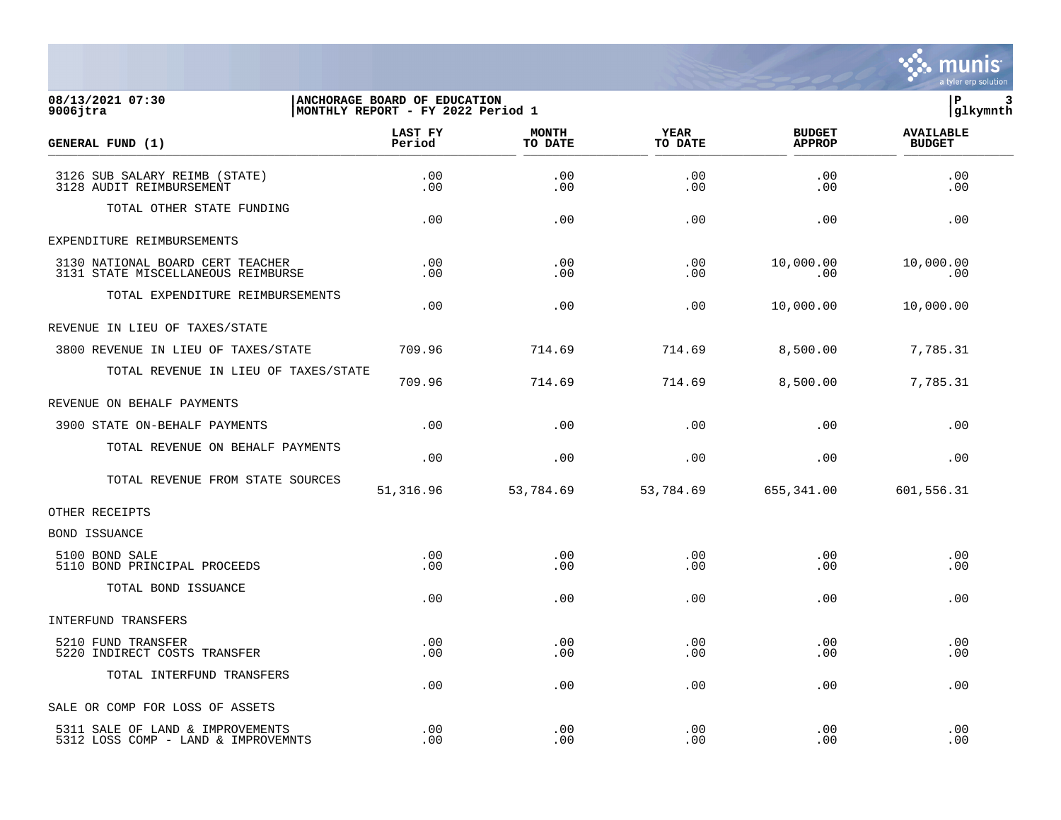

## **08/13/2021 07:30 |ANCHORAGE BOARD OF EDUCATION |P 3 9006jtra |MONTHLY REPORT - FY 2022 Period 1 |glkymnth**

| GENERAL FUND (1)                                                        | LAST FY<br>Period | <b>MONTH</b><br>TO DATE | <b>YEAR</b><br>TO DATE | <b>BUDGET</b><br><b>APPROP</b> | <b>AVAILABLE</b><br><b>BUDGET</b> |  |
|-------------------------------------------------------------------------|-------------------|-------------------------|------------------------|--------------------------------|-----------------------------------|--|
| 3126 SUB SALARY REIMB (STATE)<br>3128 AUDIT REIMBURSEMENT               | .00<br>.00        | .00<br>.00              | .00<br>.00             | .00<br>.00                     | .00<br>.00                        |  |
| TOTAL OTHER STATE FUNDING                                               | .00               | .00                     | .00                    | .00                            | .00                               |  |
| EXPENDITURE REIMBURSEMENTS                                              |                   |                         |                        |                                |                                   |  |
| 3130 NATIONAL BOARD CERT TEACHER<br>3131 STATE MISCELLANEOUS REIMBURSE  | .00<br>$.00 \,$   | .00<br>.00              | .00<br>.00             | 10,000.00<br>.00               | 10,000.00<br>.00                  |  |
| TOTAL EXPENDITURE REIMBURSEMENTS                                        | .00               | .00                     | .00                    | 10,000.00                      | 10,000.00                         |  |
| REVENUE IN LIEU OF TAXES/STATE                                          |                   |                         |                        |                                |                                   |  |
| 3800 REVENUE IN LIEU OF TAXES/STATE                                     | 709.96            | 714.69                  | 714.69                 | 8,500.00                       | 7,785.31                          |  |
| TOTAL REVENUE IN LIEU OF TAXES/STATE                                    | 709.96            | 714.69                  | 714.69                 | 8,500.00                       | 7,785.31                          |  |
| REVENUE ON BEHALF PAYMENTS                                              |                   |                         |                        |                                |                                   |  |
| 3900 STATE ON-BEHALF PAYMENTS                                           | .00               | .00                     | .00                    | .00                            | .00                               |  |
| TOTAL REVENUE ON BEHALF PAYMENTS                                        | .00               | .00                     | .00                    | .00                            | .00                               |  |
| TOTAL REVENUE FROM STATE SOURCES                                        | 51,316.96         | 53,784.69               | 53,784.69              | 655,341.00                     | 601,556.31                        |  |
| OTHER RECEIPTS                                                          |                   |                         |                        |                                |                                   |  |
| BOND ISSUANCE                                                           |                   |                         |                        |                                |                                   |  |
| 5100 BOND SALE<br>5110 BOND PRINCIPAL PROCEEDS                          | .00<br>.00.       | .00<br>.00              | .00<br>.00.            | .00<br>.00                     | .00<br>.00                        |  |
| TOTAL BOND ISSUANCE                                                     | .00               | .00                     | .00                    | .00                            | .00                               |  |
| INTERFUND TRANSFERS                                                     |                   |                         |                        |                                |                                   |  |
| 5210 FUND TRANSFER<br>5220 INDIRECT COSTS TRANSFER                      | .00<br>.00        | .00<br>.00              | .00<br>.00             | .00<br>.00                     | .00<br>.00                        |  |
| TOTAL INTERFUND TRANSFERS                                               | .00               | .00                     | .00                    | .00                            | .00                               |  |
| SALE OR COMP FOR LOSS OF ASSETS                                         |                   |                         |                        |                                |                                   |  |
| 5311 SALE OF LAND & IMPROVEMENTS<br>5312 LOSS COMP - LAND & IMPROVEMNTS | .00<br>.00        | .00<br>.00              | .00<br>.00             | .00<br>.00                     | .00<br>.00                        |  |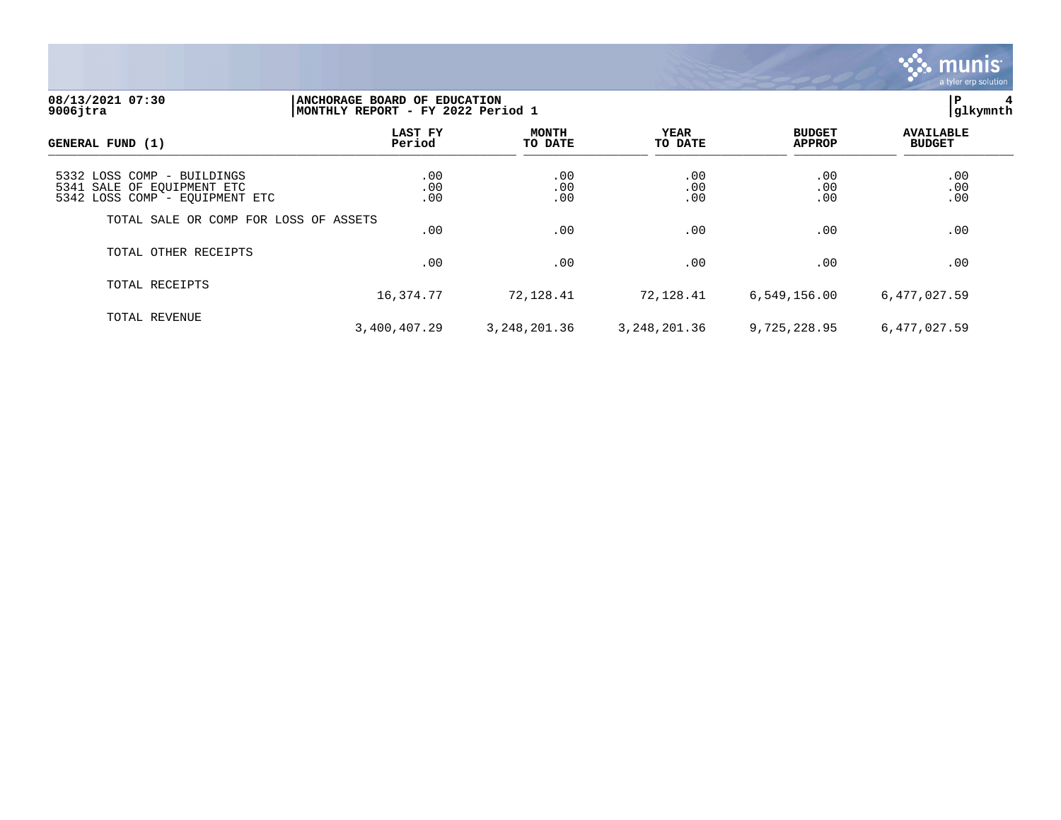

## **08/13/2021 07:30 |ANCHORAGE BOARD OF EDUCATION |P 4 9006jtra |MONTHLY REPORT - FY 2022 Period 1 |glkymnth**

| GENERAL FUND (1)                                                                           | LAST FY<br>Period | <b>MONTH</b><br>TO DATE | <b>YEAR</b><br>TO DATE | <b>BUDGET</b><br><b>APPROP</b> | <b>AVAILABLE</b><br><b>BUDGET</b> |
|--------------------------------------------------------------------------------------------|-------------------|-------------------------|------------------------|--------------------------------|-----------------------------------|
| 5332 LOSS COMP - BUILDINGS<br>5341 SALE OF EQUIPMENT ETC<br>5342 LOSS COMP - EQUIPMENT ETC | .00<br>.00<br>.00 | .00<br>.00<br>.00       | .00<br>.00<br>.00      | .00<br>.00<br>.00              | .00.00<br>.00                     |
| TOTAL SALE OR COMP FOR LOSS OF ASSETS                                                      | .00               | .00                     | .00                    | .00                            | .00                               |
| TOTAL OTHER RECEIPTS                                                                       | .00               | .00                     | .00                    | .00                            | .00                               |
| TOTAL RECEIPTS                                                                             | 16,374.77         | 72,128.41               | 72,128.41              | 6,549,156.00                   | 6,477,027.59                      |
| TOTAL REVENUE                                                                              | 3,400,407.29      | 3, 248, 201.36          | 3, 248, 201.36         | 9,725,228.95                   | 6,477,027.59                      |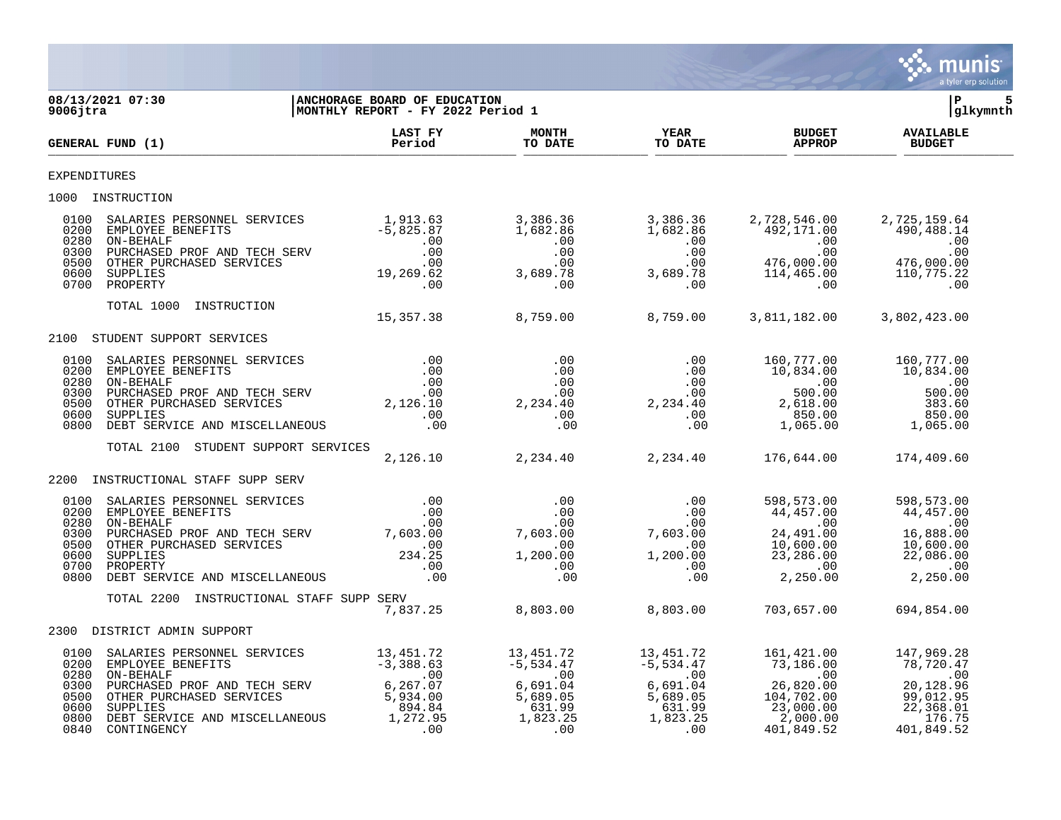

08/13/2021 07:30 **| ANCHORAGE BOARD OF EDUCATION**<br>9006jtra MONTHLY REPORT - FY 2022 Period 1 **|MONTHLY REPORT - FY 2022 Period 1 LAST FY MONTH YEAR BUDGET AVAILABLE GENERAL FUND (1) Period TO DATE TO DATE APPROP BUDGET**  TO DATE THE RESERVED FOUR (1) DODGET EXPENDITURES 1000 INSTRUCTION 0100 SALARIES PERSONNEL SERVICES 1,913.63 3,386.36 3,386.36 2,728,546.00 2,725,159.64 0200 EMPLOYEE BENEFITS -5,825.87 1,682.86 1,682.86 492,171.00 490,488.14 0280 ON-BEHALF .00 .00 .00 .00 .00 0300 PURCHASED PROF AND TECH SERV .00 .00 .00 .00 .00 0500 OTHER PURCHASED SERVICES .00 .00 .00 476,000.00 476,000.00 0600 SUPPLIES 19,269.62 3,689.78 3,689.78 114,465.00 110,775.22 0700 PROPERTY .00 .00 .00 .00 .00 TOTAL 1000 INSTRUCTION 15,357.38 8,759.00 8,759.00 3,811,182.00 3,802,423.00 2100 STUDENT SUPPORT SERVICES 0100 SALARIES PERSONNEL SERVICES .00 .00 .00 160,777.00 160,777.00 0200 EMPLOYEE BENEFITS .00 .00 .00 10,834.00 10,834.00 0280 ON-BEHALF .00 .00 .00 .00 .00 0300 PURCHASED PROF AND TECH SERV .00 .00 .00 500.00 500.00 0500 OTHER PURCHASED SERVICES 2,126.10 2,234.40 2,234.40 2,618.00 383.60 0600 SUPPLIES .00 .00 .00 850.00 850.00 0800 DEBT SERVICE AND MISCELLANEOUS .00 .00 .00 1,065.00 1,065.00 TOTAL 2100 STUDENT SUPPORT SERVICES 2,126.10 2,234.40 2,234.40 176,644.00 174,409.60 2200 INSTRUCTIONAL STAFF SUPP SERV 0100 SALARIES PERSONNEL SERVICES .00 .00 .00 598,573.00 598,573.00 0200 EMPLOYEE BENEFITS .00 .00 .00 44,457.00 44,457.00 0280 ON-BEHALF .00 .00 .00 .00 .00 0300 PURCHASED PROF AND TECH SERV 7,603.00 7,603.00 7,603.00 24,491.00 16,888.00 0500 OTHER PURCHASED SERVICES .00 .00 .00 10,600.00 10,600.00 0600 SUPPLIES 234.25 1,200.00 1,200.00 23,286.00 22,086.00 0700 PROPERTY .00 .00 .00 .00 .00 0800 DEBT SERVICE AND MISCELLANEOUS .00 .00 .00 2,250.00 2,250.00 TOTAL 2200 INSTRUCTIONAL STAFF SUPP SERV 7,837.25 8,803.00 8,803.00 703,657.00 694,854.00 2300 DISTRICT ADMIN SUPPORT 0100 SALARIES PERSONNEL SERVICES 13,451.72 13,451.72 13,451.72 161,421.00 147,969.28 0200 EMPLOYEE BENEFITS -3,388.63 -5,534.47 -5,534.47 73,186.00 78,720.47 0280 ON-BEHALF .00 .00 .00 .00 .00 0300 PURCHASED PROF AND TECH SERV 6,267.07 6,691.04 6,691.04 26,820.00 20,128.96 0500 OTHER PURCHASED SERVICES 5,934.00 5,689.05 5,689.05 104,702.00 99,012.95 0600 SUPPLIES 894.84 631.99 631.99 23,000.00 22,368.01 0800 DEBT SERVICE AND MISCELLANEOUS 1,272.95 1,823.25 1,823.25 2,000.00 176.75 0840 CONTINGENCY .00 .00 .00 401,849.52 401,849.52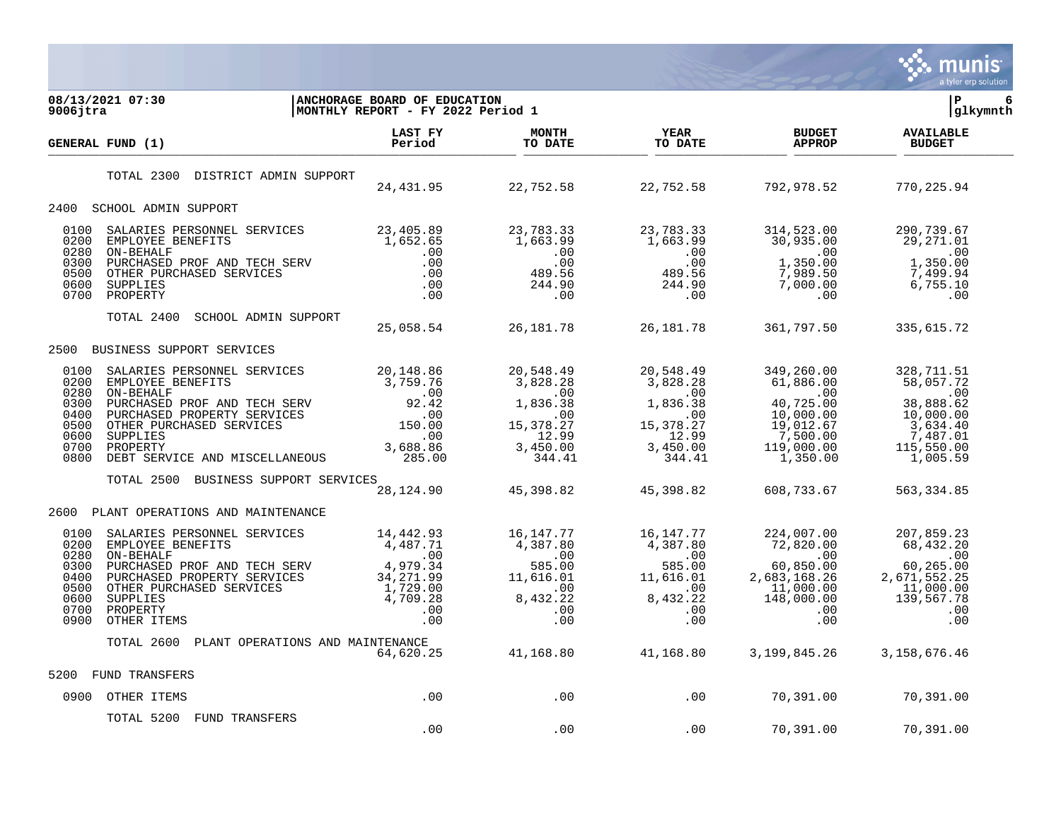

| 08/13/2021 07:30<br>$9006$ jtra                                                                                                                                                                                                                                                                                          | ANCHORAGE BOARD OF EDUCATION<br>MONTHLY REPORT - FY 2022 Period 1                                     |                                                                                                                                                                                                                           |                                                                         |                                                                                                                                         | lР<br>6<br> glkymnth                                                                                             |
|--------------------------------------------------------------------------------------------------------------------------------------------------------------------------------------------------------------------------------------------------------------------------------------------------------------------------|-------------------------------------------------------------------------------------------------------|---------------------------------------------------------------------------------------------------------------------------------------------------------------------------------------------------------------------------|-------------------------------------------------------------------------|-----------------------------------------------------------------------------------------------------------------------------------------|------------------------------------------------------------------------------------------------------------------|
| <b>GENERAL FUND (1)</b>                                                                                                                                                                                                                                                                                                  | LAST FY<br>Period                                                                                     | <b>MONTH</b><br>TO DATE                                                                                                                                                                                                   | <b>YEAR</b><br>TO DATE                                                  | <b>BUDGET</b><br><b>APPROP</b>                                                                                                          | <b>AVAILABLE</b><br><b>BUDGET</b>                                                                                |
| TOTAL 2300 DISTRICT ADMIN SUPPORT                                                                                                                                                                                                                                                                                        |                                                                                                       | 24, 431.95 22, 752.58 22, 752.58                                                                                                                                                                                          |                                                                         | 792,978.52                                                                                                                              | 770,225.94                                                                                                       |
| 2400<br>SCHOOL ADMIN SUPPORT                                                                                                                                                                                                                                                                                             |                                                                                                       |                                                                                                                                                                                                                           |                                                                         |                                                                                                                                         |                                                                                                                  |
| 0100<br>0200<br>0280<br>ON-BEHALF<br>0300<br>0500<br>0600<br>0700                                                                                                                                                                                                                                                        |                                                                                                       |                                                                                                                                                                                                                           |                                                                         | .00                                                                                                                                     | 290,739.67<br>29,271.01<br>$\overline{00}$<br>1,350.00<br>1, 350.00<br>7, 499.94<br>6 חדר<br>$\sim$ 00           |
| SCHOOL ADMIN SUPPORT<br>TOTAL 2400                                                                                                                                                                                                                                                                                       |                                                                                                       | 25,058.54 26,181.78 26,181.78                                                                                                                                                                                             |                                                                         | 361,797.50                                                                                                                              | 335,615.72                                                                                                       |
| BUSINESS SUPPORT SERVICES<br>2500                                                                                                                                                                                                                                                                                        |                                                                                                       |                                                                                                                                                                                                                           |                                                                         |                                                                                                                                         |                                                                                                                  |
| 0100<br>SALARIES PERSONNEL SERVICES<br>EMPLOYEE BENEFITS<br>ON-BEHALF 3,759.76<br>ON-BEHALF 3,759.76<br>PURCHASED PROF AND TECH SERV 92.42<br>PURCHASED PROPERTY SERVICES .00<br>OTHER PURCHASED SERVICES .00<br>SUPPLIES .00<br>SUPPLIES .00<br>PROPERT<br>0200<br>0280<br>0300<br>0400<br>0500<br>0600<br>0700<br>0800 |                                                                                                       | 20,548.49<br>$\begin{array}{c} .00\ 15,378.27\ 12.99\ 3,450.00\ 344.41\ \end{array}$                                                                                                                                      | 20,548.49<br>$15,378.27$<br>12.99<br>3,450.00<br>344.41                 | 349,260.00<br>61,886.00<br>.00<br>40,725.00<br>10,000.00<br>19,012.67<br>7,500.00<br>119,000.00<br>1,350.00                             | 328,711.51<br>58,057.72<br>$\sim 00$<br>38,888.62<br>10,000.00<br>3,634.40<br>7,487.01<br>115,550.00<br>1,005.59 |
| TOTAL 2500 BUSINESS SUPPORT SERVICES                                                                                                                                                                                                                                                                                     |                                                                                                       | 28, 124.90 45, 398.82 45, 398.82                                                                                                                                                                                          |                                                                         | 608,733.67                                                                                                                              | 563, 334.85                                                                                                      |
| 2600<br>PLANT OPERATIONS AND MAINTENANCE                                                                                                                                                                                                                                                                                 |                                                                                                       |                                                                                                                                                                                                                           |                                                                         |                                                                                                                                         |                                                                                                                  |
| 0100<br>SALARIES PERSONNEL SERVICES<br>0200<br>EMPLOYEE BENEFITS<br>0280<br>ON-BEHALF<br>PURCHASED PROF AND TECH SERV<br>0300<br>PURCHASED PROPERTY SERVICES<br>0400<br>0500<br>OTHER PURCHASED SERVICES<br>0600<br><b>SUPPLIES</b><br>0700<br>PROPERTY<br>0900<br>OTHER ITEMS                                           | 14,442.93<br>4, 487.71<br>00<br>4, 979.34<br>34, 271. ac<br>1<br>34, 271.99<br>1, 729.00<br>4, 709.28 | 16,147.77<br>$\begin{array}{cccc} 14,442.95 & 16,147.77 \\ 4,487.71 & 4,387.80 \\ .00 & .00 & .00 \\ 34,271.99 & 11,616.01 \\ 1,729.00 & .00 \\ 4,709.28 & 8,432.22 \\ .00 & .00 & .00 \\ .00 & .00 & .00 \\ \end{array}$ | $16,147.77$<br>4,387.80<br>00<br>05.00<br>.00<br>8,432.22<br>.00<br>.00 | $\begin{array}{r} 224,007.00 \\ 72,820.00 \\ .00 \\ \hline 0 \\ 0 \end{array}$<br>2,683,168.26<br>11,000.00<br>148,000.00<br>.00<br>.00 | 207,859.23<br>68,432.20<br>$\sim$ 00<br>60, 265.00<br>2,671,552.25<br>11,000.00<br>139,567.78<br>.00<br>.00      |
| TOTAL 2600 PLANT OPERATIONS AND MAINTENANCE                                                                                                                                                                                                                                                                              | 64,620.25                                                                                             |                                                                                                                                                                                                                           |                                                                         | 41,168.80 41,168.80 3,199,845.26 3,158,676.46                                                                                           |                                                                                                                  |
| 5200<br>FUND TRANSFERS                                                                                                                                                                                                                                                                                                   |                                                                                                       |                                                                                                                                                                                                                           |                                                                         |                                                                                                                                         |                                                                                                                  |
| 0900 OTHER ITEMS                                                                                                                                                                                                                                                                                                         | .00                                                                                                   | $\overline{00}$                                                                                                                                                                                                           | $\overline{1}$ .00                                                      | 70,391.00                                                                                                                               | 70,391.00                                                                                                        |
| TOTAL 5200 FUND TRANSFERS                                                                                                                                                                                                                                                                                                | .00                                                                                                   | .00                                                                                                                                                                                                                       | .00                                                                     | 70,391.00                                                                                                                               | 70,391.00                                                                                                        |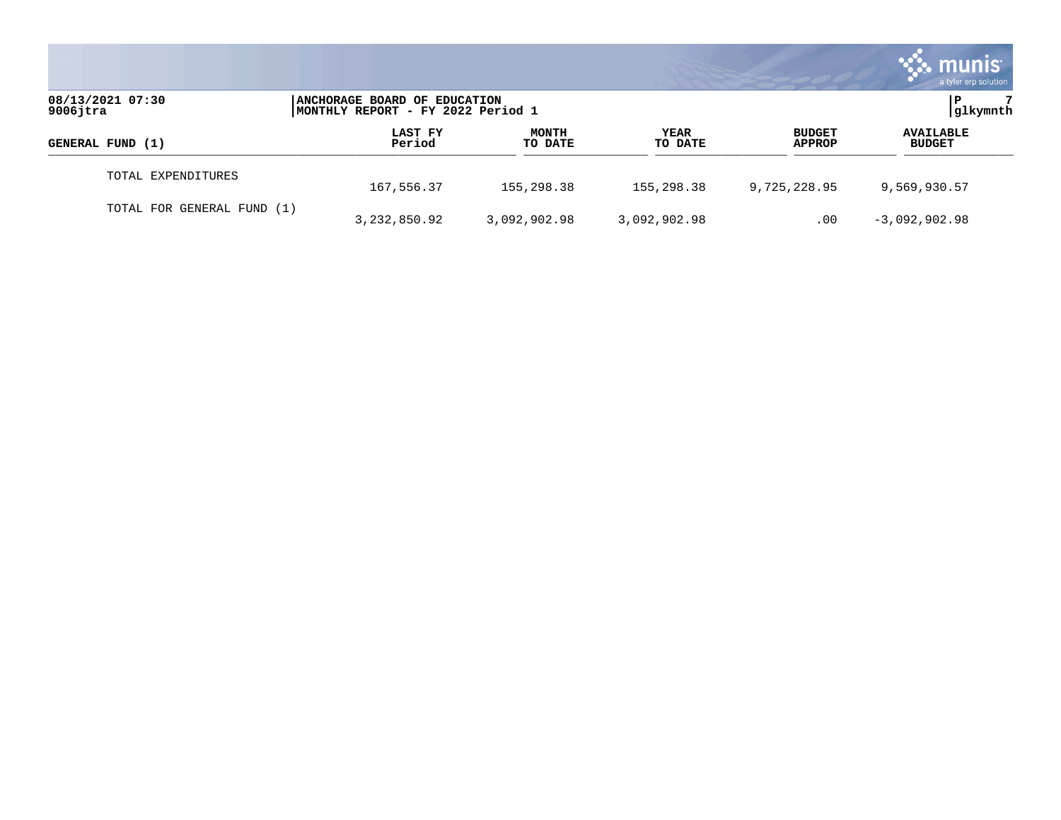|                                 |                                                                    |                         |                        |                                | munis <sup>®</sup><br>a tyler erp solution |
|---------------------------------|--------------------------------------------------------------------|-------------------------|------------------------|--------------------------------|--------------------------------------------|
| 08/13/2021 07:30<br>$9006$ jtra | ANCHORAGE BOARD OF EDUCATION<br> MONTHLY REPORT - FY 2022 Period 1 |                         |                        |                                | glkymnth                                   |
| GENERAL FUND (1)                | LAST FY<br>Period                                                  | <b>MONTH</b><br>TO DATE | <b>YEAR</b><br>TO DATE | <b>BUDGET</b><br><b>APPROP</b> | <b>AVAILABLE</b><br><b>BUDGET</b>          |
| TOTAL EXPENDITURES              | 167,556.37                                                         | 155,298.38              | 155,298.38             | 9,725,228.95                   | 9,569,930.57                               |
| TOTAL FOR GENERAL FUND (1)      | 3, 232, 850.92                                                     | 3,092,902.98            | 3,092,902.98           | .00                            | $-3,092,902.98$                            |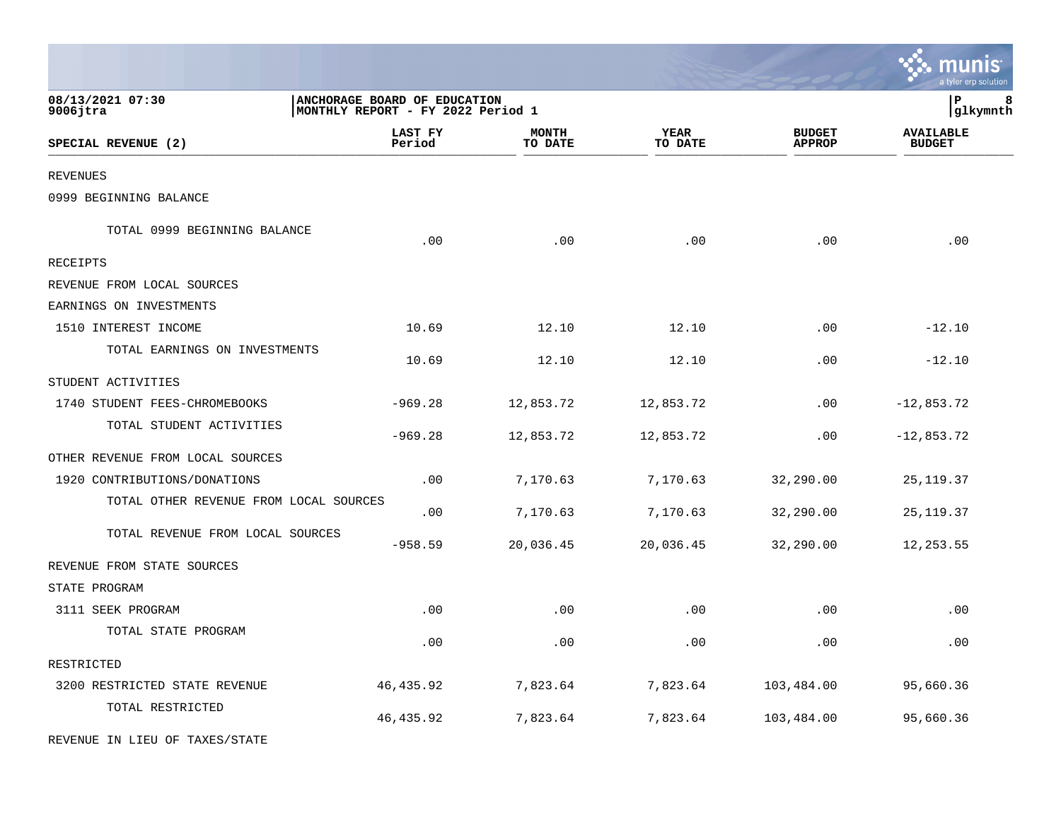|                                        |                                                                   |                         |                 |                                | a tyler erp solution              |
|----------------------------------------|-------------------------------------------------------------------|-------------------------|-----------------|--------------------------------|-----------------------------------|
| 08/13/2021 07:30<br>9006jtra           | ANCHORAGE BOARD OF EDUCATION<br>MONTHLY REPORT - FY 2022 Period 1 |                         |                 |                                | ${\bf P}$<br>8<br>glkymnth        |
| SPECIAL REVENUE (2)                    | LAST FY<br>Period                                                 | <b>MONTH</b><br>TO DATE | YEAR<br>TO DATE | <b>BUDGET</b><br><b>APPROP</b> | <b>AVAILABLE</b><br><b>BUDGET</b> |
| <b>REVENUES</b>                        |                                                                   |                         |                 |                                |                                   |
| 0999 BEGINNING BALANCE                 |                                                                   |                         |                 |                                |                                   |
| TOTAL 0999 BEGINNING BALANCE           | .00                                                               | .00                     | .00             | .00                            | .00                               |
| RECEIPTS                               |                                                                   |                         |                 |                                |                                   |
| REVENUE FROM LOCAL SOURCES             |                                                                   |                         |                 |                                |                                   |
| EARNINGS ON INVESTMENTS                |                                                                   |                         |                 |                                |                                   |
| 1510 INTEREST INCOME                   | 10.69                                                             | 12.10                   | 12.10           | .00                            | $-12.10$                          |
| TOTAL EARNINGS ON INVESTMENTS          | 10.69                                                             | 12.10                   | 12.10           | .00                            | $-12.10$                          |
| STUDENT ACTIVITIES                     |                                                                   |                         |                 |                                |                                   |
| 1740 STUDENT FEES-CHROMEBOOKS          | $-969.28$                                                         | 12,853.72               | 12,853.72       | .00                            | $-12,853.72$                      |
| TOTAL STUDENT ACTIVITIES               | $-969.28$                                                         | 12,853.72               | 12,853.72       | .00                            | $-12,853.72$                      |
| OTHER REVENUE FROM LOCAL SOURCES       |                                                                   |                         |                 |                                |                                   |
| 1920 CONTRIBUTIONS/DONATIONS           | .00                                                               | 7,170.63                | 7,170.63        | 32,290.00                      | 25, 119.37                        |
| TOTAL OTHER REVENUE FROM LOCAL SOURCES | .00                                                               | 7,170.63                | 7,170.63        | 32,290.00                      | 25, 119.37                        |
| TOTAL REVENUE FROM LOCAL SOURCES       | $-958.59$                                                         | 20,036.45               | 20,036.45       | 32,290.00                      | 12, 253.55                        |
| REVENUE FROM STATE SOURCES             |                                                                   |                         |                 |                                |                                   |
| STATE PROGRAM                          |                                                                   |                         |                 |                                |                                   |
| 3111 SEEK PROGRAM                      | .00                                                               | .00                     | .00             | .00                            | .00                               |
| TOTAL STATE PROGRAM                    | .00                                                               | .00                     | .00             | .00                            | .00                               |
| RESTRICTED                             |                                                                   |                         |                 |                                |                                   |
| 3200 RESTRICTED STATE REVENUE          | 46,435.92                                                         | 7,823.64                | 7,823.64        | 103,484.00                     | 95,660.36                         |
| TOTAL RESTRICTED                       | 46, 435.92                                                        | 7,823.64                | 7,823.64        | 103,484.00                     | 95,660.36                         |
| REVENUE IN LIEU OF TAXES/STATE         |                                                                   |                         |                 |                                |                                   |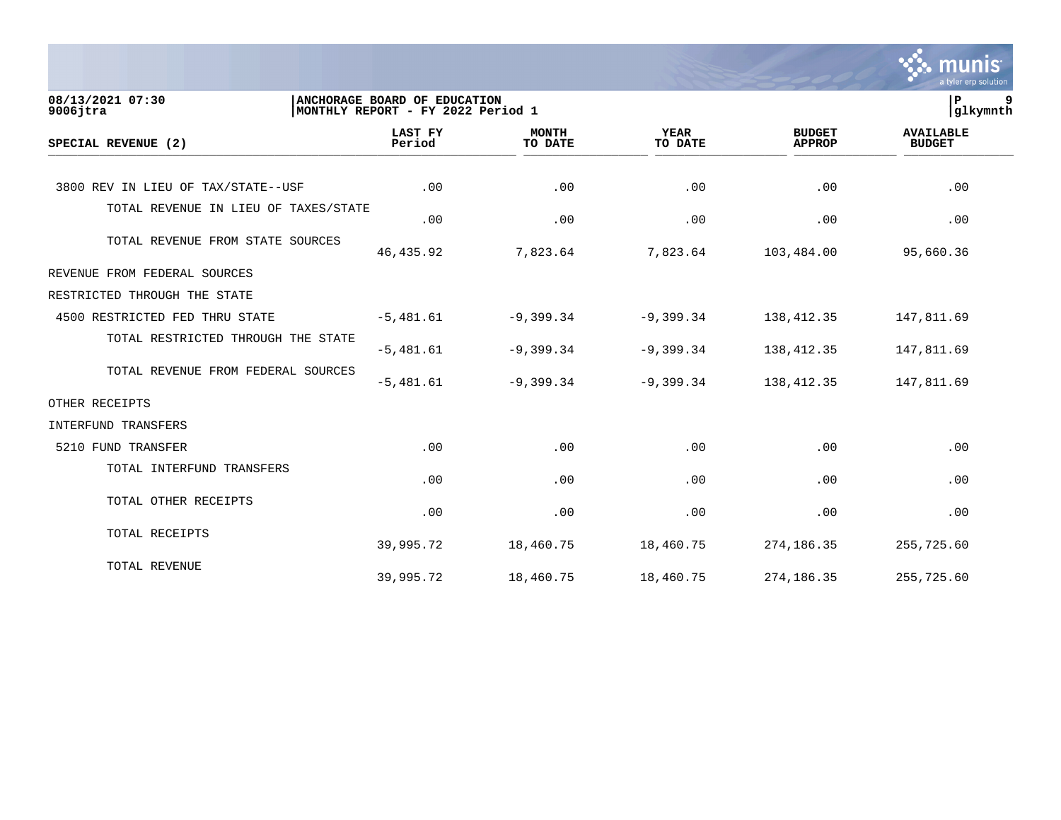|                                      |                                                                   |                         |                        |                                | munis<br>a tyler erp solution     |
|--------------------------------------|-------------------------------------------------------------------|-------------------------|------------------------|--------------------------------|-----------------------------------|
| 08/13/2021 07:30<br>$9006$ jtra      | ANCHORAGE BOARD OF EDUCATION<br>MONTHLY REPORT - FY 2022 Period 1 |                         |                        |                                | ΙP<br>9<br> glkymnth              |
| SPECIAL REVENUE (2)                  | <b>LAST FY</b><br>Period                                          | <b>MONTH</b><br>TO DATE | <b>YEAR</b><br>TO DATE | <b>BUDGET</b><br><b>APPROP</b> | <b>AVAILABLE</b><br><b>BUDGET</b> |
| 3800 REV IN LIEU OF TAX/STATE--USF   | .00                                                               | .00                     | .00                    | .00                            | .00                               |
| TOTAL REVENUE IN LIEU OF TAXES/STATE | .00                                                               | .00                     | .00                    | .00                            | .00                               |
| TOTAL REVENUE FROM STATE SOURCES     | 46, 435.92                                                        | 7,823.64                | 7,823.64               | 103,484.00                     | 95,660.36                         |
| REVENUE FROM FEDERAL SOURCES         |                                                                   |                         |                        |                                |                                   |
| RESTRICTED THROUGH THE STATE         |                                                                   |                         |                        |                                |                                   |
| 4500 RESTRICTED FED THRU STATE       | $-5,481.61$                                                       | $-9,399.34$             | $-9,399.34$            | 138, 412.35                    | 147,811.69                        |
| TOTAL RESTRICTED THROUGH THE STATE   | $-5,481.61$                                                       | $-9,399.34$             | $-9,399.34$            | 138, 412.35                    | 147,811.69                        |
| TOTAL REVENUE FROM FEDERAL SOURCES   | $-5,481.61$                                                       | $-9,399.34$             | $-9,399.34$            | 138, 412.35                    | 147,811.69                        |
| OTHER RECEIPTS                       |                                                                   |                         |                        |                                |                                   |
| INTERFUND TRANSFERS                  |                                                                   |                         |                        |                                |                                   |
| 5210 FUND TRANSFER                   | .00                                                               | .00                     | .00                    | .00                            | .00                               |
| TOTAL INTERFUND TRANSFERS            | .00                                                               | .00                     | .00                    | .00                            | .00                               |
| TOTAL OTHER RECEIPTS                 | .00                                                               | .00                     | .00                    | .00                            | .00                               |
| TOTAL RECEIPTS                       | 39,995.72                                                         | 18,460.75               | 18,460.75              | 274,186.35                     | 255,725.60                        |
| TOTAL REVENUE                        | 39,995.72                                                         | 18,460.75               | 18,460.75              | 274,186.35                     | 255,725.60                        |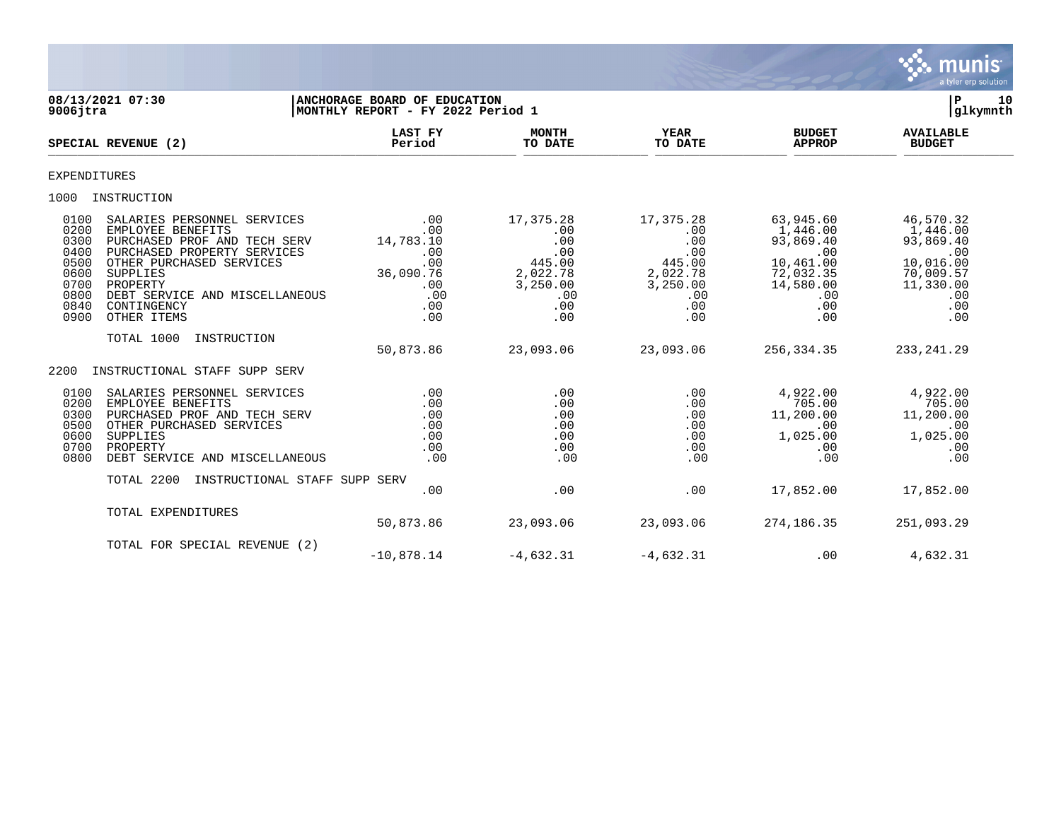

**08/13/2021 07:30 |ANCHORAGE BOARD OF EDUCATION |P 10** MONTHLY REPORT - FY 2022 Period 1  **LAST FY MONTH YEAR BUDGET AVAILABLE SPECIAL REVENUE (2) Period TO DATE TO DATE APPROP BUDGET**   $\frac{10 \text{ Bheil}}{10 \text{ Bheil}}$ EXPENDITURES 1000 INSTRUCTION 0100 SALARIES PERSONNEL SERVICES ... 00 17,375.28 17,375.28 63,945.60 46,570.32<br>00 1,446.00 1,446.00 1,446.00 ... 00 .00 .00 ... 00 0200 EMPLOYEE BENEFITS .00 .00 .00 1,446.00 1,446.00 0300 PURCHASED PROF AND TECH SERV 14,783.10 .00 .00 93,869.40 93,869.40 0400 PURCHASED PROPERTY SERVICES .00 .00 .00 .00 .00 0500 OTHER PURCHASED SERVICES .00 .00 445.00 445.00 445.00<br>0600 0600 2.022.78 2.022.78 0600 SUPPLIES 36,090.76 2,022.78 2,022.78 72,032.35 70,009.57 0700 PROPERTY .00 3,250.00 3,250.00 14,580.00 11,330.00 0800 DEBT SERVICE AND MISCELLANEOUS .00 .00 .00 .00 .00 0840 CONTINGENCY .00 .00 .00 .00 .00 0900 OTHER ITEMS TOTAL 1000 INSTRUCTION 50,873.86 23,093.06 23,093.06 256,334.35 233,241.29 2200 INSTRUCTIONAL STAFF SUPP SERV 0100 SALARIES PERSONNEL SERVICES .00 .00 .00 4,922.00 4,922.00 0200 EMPLOYEE BENEFITS .00 .00 .00 705.00 705.00 0300 PURCHASED PROF AND TECH SERV .00 .00 .00 11,200.00 11,200.00 0500 OTHER PURCHASED SERVICES .00 .00 .00 .00 .00 0600 SUPPLIES .00 .00 .00 1,025.00 1,025.00 0700 PROPERTY .00 .00 .00 .00 .00 0800 DEBT SERVICE AND MISCELLANEOUS .00 .00 .00 .00 .00 TOTAL 2200 INSTRUCTIONAL STAFF SUPP SERV  $.00$   $.00$   $.00$   $.07$   $.07$   $.00$   $.07$   $.07$   $.07$   $.00$   $.00$   $.00$   $.00$   $.00$   $.00$   $.00$   $.00$   $.00$   $.00$   $.00$   $.00$   $.00$   $.00$   $.00$   $.00$   $.00$   $.00$   $.00$   $.00$   $.00$   $.00$   $.00$   $.00$   $.00$   $.00$   $.00$   $.00$ TOTAL EXPENDITURES 50,873.86 23,093.06 23,093.06 274,186.35 251,093.29 TOTAL FOR SPECIAL REVENUE (2)  $-10,878.14$   $-4,632.31$   $-4,632.31$   $-10,878.14$   $-4,632.31$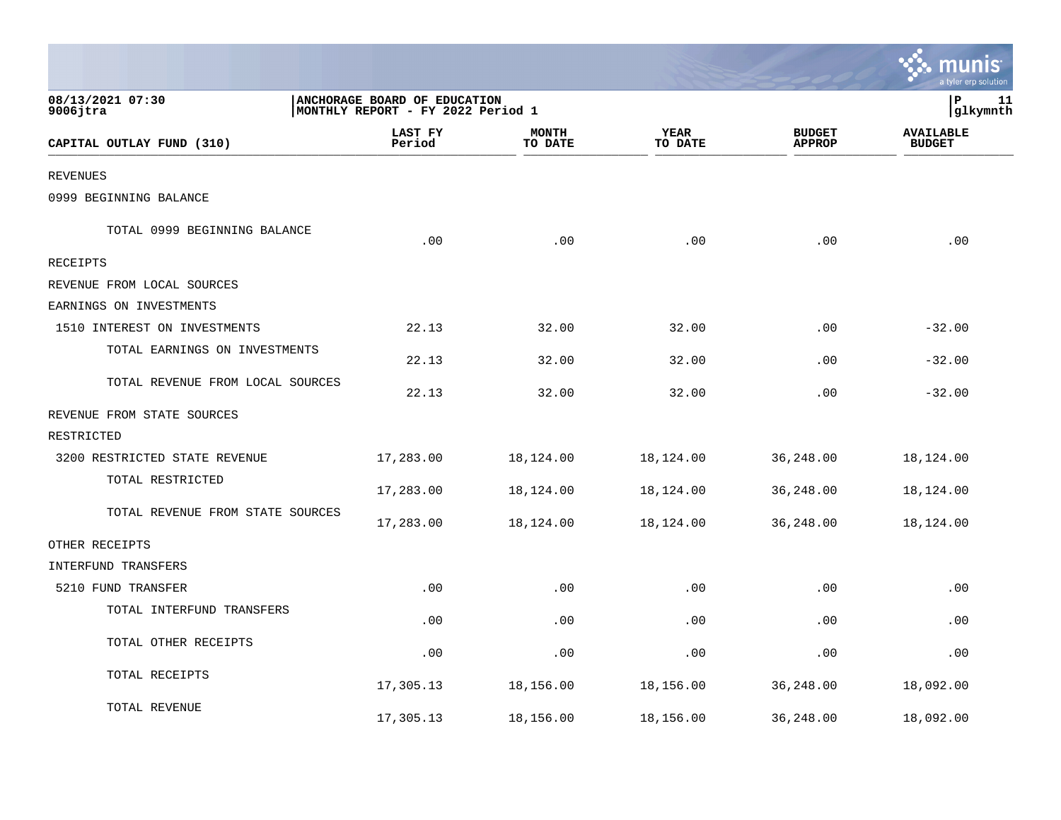|                                  |                                                                   |                         |                 |                                | a tyler erp solution              |
|----------------------------------|-------------------------------------------------------------------|-------------------------|-----------------|--------------------------------|-----------------------------------|
| 08/13/2021 07:30<br>$9006$ jtra  | ANCHORAGE BOARD OF EDUCATION<br>MONTHLY REPORT - FY 2022 Period 1 |                         |                 |                                | ΙP<br>11<br>glkymnth              |
| CAPITAL OUTLAY FUND (310)        | LAST FY<br>Period                                                 | <b>MONTH</b><br>TO DATE | YEAR<br>TO DATE | <b>BUDGET</b><br><b>APPROP</b> | <b>AVAILABLE</b><br><b>BUDGET</b> |
| <b>REVENUES</b>                  |                                                                   |                         |                 |                                |                                   |
| 0999 BEGINNING BALANCE           |                                                                   |                         |                 |                                |                                   |
| TOTAL 0999 BEGINNING BALANCE     | .00                                                               | .00                     | .00             | .00                            | .00                               |
| RECEIPTS                         |                                                                   |                         |                 |                                |                                   |
| REVENUE FROM LOCAL SOURCES       |                                                                   |                         |                 |                                |                                   |
| EARNINGS ON INVESTMENTS          |                                                                   |                         |                 |                                |                                   |
| 1510 INTEREST ON INVESTMENTS     | 22.13                                                             | 32.00                   | 32.00           | .00                            | $-32.00$                          |
| TOTAL EARNINGS ON INVESTMENTS    | 22.13                                                             | 32.00                   | 32.00           | .00                            | $-32.00$                          |
| TOTAL REVENUE FROM LOCAL SOURCES | 22.13                                                             | 32.00                   | 32.00           | .00                            | $-32.00$                          |
| REVENUE FROM STATE SOURCES       |                                                                   |                         |                 |                                |                                   |
| RESTRICTED                       |                                                                   |                         |                 |                                |                                   |
| 3200 RESTRICTED STATE REVENUE    | 17,283.00                                                         | 18,124.00               | 18,124.00       | 36,248.00                      | 18,124.00                         |
| TOTAL RESTRICTED                 | 17,283.00                                                         | 18,124.00               | 18,124.00       | 36,248.00                      | 18,124.00                         |
| TOTAL REVENUE FROM STATE SOURCES | 17,283.00                                                         | 18,124.00               | 18,124.00       | 36,248.00                      | 18,124.00                         |
| OTHER RECEIPTS                   |                                                                   |                         |                 |                                |                                   |
| INTERFUND TRANSFERS              |                                                                   |                         |                 |                                |                                   |
| 5210 FUND TRANSFER               | .00                                                               | .00                     | .00             | .00                            | .00                               |
| TOTAL INTERFUND TRANSFERS        | .00                                                               | .00                     | .00             | .00                            | .00                               |
| TOTAL OTHER RECEIPTS             | .00                                                               | .00                     | .00             | .00                            | .00                               |
| TOTAL RECEIPTS                   | 17,305.13                                                         | 18,156.00               | 18,156.00       | 36,248.00                      | 18,092.00                         |
| TOTAL REVENUE                    | 17,305.13                                                         | 18,156.00               | 18,156.00       | 36,248.00                      | 18,092.00                         |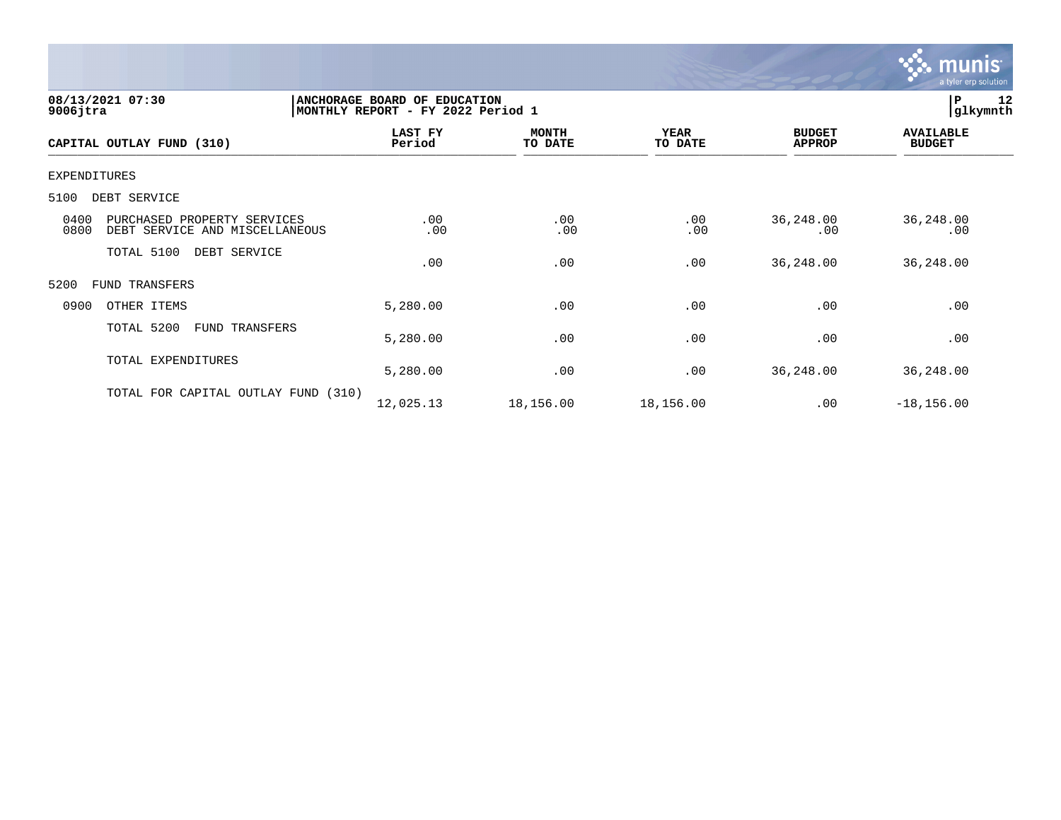

| 08/13/2021 07:30<br>$9006$ jtra                                               | ANCHORAGE BOARD OF EDUCATION<br>MONTHLY REPORT - FY 2022 Period 1 | 12<br> P<br> glkymnth   |                 |                                |                                   |
|-------------------------------------------------------------------------------|-------------------------------------------------------------------|-------------------------|-----------------|--------------------------------|-----------------------------------|
| CAPITAL OUTLAY FUND (310)                                                     | LAST FY<br>Period                                                 | <b>MONTH</b><br>TO DATE | YEAR<br>TO DATE | <b>BUDGET</b><br><b>APPROP</b> | <b>AVAILABLE</b><br><b>BUDGET</b> |
| <b>EXPENDITURES</b>                                                           |                                                                   |                         |                 |                                |                                   |
| 5100<br>DEBT SERVICE                                                          |                                                                   |                         |                 |                                |                                   |
| 0400<br>PURCHASED PROPERTY SERVICES<br>0800<br>DEBT SERVICE AND MISCELLANEOUS | .00<br>.00                                                        | .00<br>.00              | .00<br>.00      | 36,248.00<br>.00               | 36,248.00<br>.00                  |
| TOTAL 5100<br>DEBT SERVICE                                                    | .00                                                               | .00                     | .00             | 36,248.00                      | 36,248.00                         |
| 5200<br>FUND TRANSFERS                                                        |                                                                   |                         |                 |                                |                                   |
| 0900<br>OTHER ITEMS                                                           | 5,280.00                                                          | .00                     | .00             | .00                            | .00                               |
| TOTAL 5200<br>FUND TRANSFERS                                                  | 5,280.00                                                          | .00                     | .00             | .00                            | .00                               |
| TOTAL EXPENDITURES                                                            | 5,280.00                                                          | .00                     | .00             | 36,248.00                      | 36,248.00                         |
| TOTAL FOR CAPITAL OUTLAY FUND (310)                                           | 12,025.13                                                         | 18,156.00               | 18,156.00       | .00                            | $-18, 156.00$                     |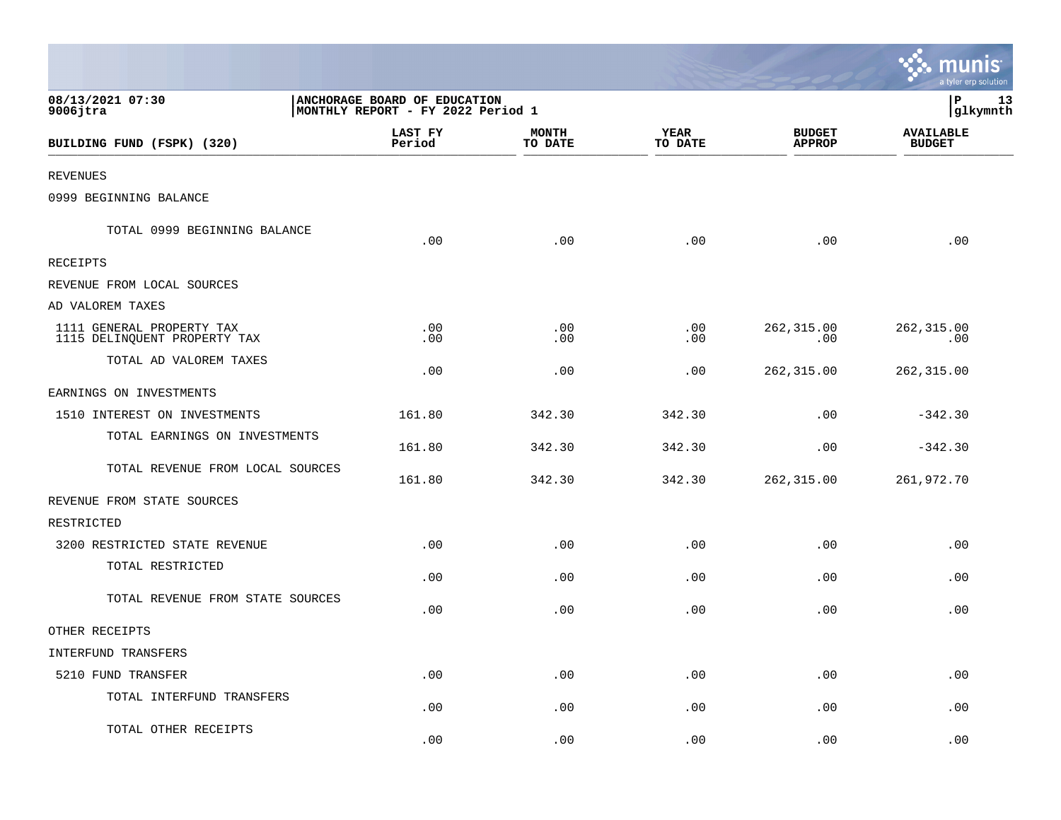|                                                           |                                                                   |                         |                             |                                | munis<br>a tyler erp solution     |
|-----------------------------------------------------------|-------------------------------------------------------------------|-------------------------|-----------------------------|--------------------------------|-----------------------------------|
| 08/13/2021 07:30<br>$9006$ jtra                           | ANCHORAGE BOARD OF EDUCATION<br>MONTHLY REPORT - FY 2022 Period 1 |                         |                             |                                | P<br>13<br>glkymnth               |
| BUILDING FUND (FSPK) (320)                                | LAST FY<br>Period                                                 | <b>MONTH</b><br>TO DATE | <b>YEAR</b><br>TO DATE      | <b>BUDGET</b><br><b>APPROP</b> | <b>AVAILABLE</b><br><b>BUDGET</b> |
| <b>REVENUES</b>                                           |                                                                   |                         |                             |                                |                                   |
| 0999 BEGINNING BALANCE                                    |                                                                   |                         |                             |                                |                                   |
| TOTAL 0999 BEGINNING BALANCE                              | .00                                                               | .00                     | .00                         | .00                            | .00                               |
| RECEIPTS                                                  |                                                                   |                         |                             |                                |                                   |
| REVENUE FROM LOCAL SOURCES                                |                                                                   |                         |                             |                                |                                   |
| AD VALOREM TAXES                                          |                                                                   |                         |                             |                                |                                   |
| 1111 GENERAL PROPERTY TAX<br>1115 DELINQUENT PROPERTY TAX | $.00 \ \,$<br>.00                                                 | .00<br>.00              | .00<br>.00                  | 262,315.00<br>.00              | 262,315.00<br>.00                 |
| TOTAL AD VALOREM TAXES                                    | .00                                                               | .00                     | .00                         | 262,315.00                     | 262, 315.00                       |
| EARNINGS ON INVESTMENTS                                   |                                                                   |                         |                             |                                |                                   |
| 1510 INTEREST ON INVESTMENTS                              | 161.80                                                            | 342.30                  | 342.30                      | .00                            | $-342.30$                         |
| TOTAL EARNINGS ON INVESTMENTS                             | 161.80                                                            | 342.30                  | 342.30                      | .00                            | $-342.30$                         |
| TOTAL REVENUE FROM LOCAL SOURCES                          | 161.80                                                            | 342.30                  | 342.30                      | 262,315.00                     | 261,972.70                        |
| REVENUE FROM STATE SOURCES                                |                                                                   |                         |                             |                                |                                   |
| RESTRICTED                                                |                                                                   |                         |                             |                                |                                   |
| 3200 RESTRICTED STATE REVENUE                             | .00                                                               | .00                     | .00                         | .00                            | .00                               |
| TOTAL RESTRICTED                                          | .00                                                               | .00                     | .00                         | .00                            | .00                               |
| TOTAL REVENUE FROM STATE SOURCES                          | .00                                                               | .00                     | .00                         | .00                            | .00                               |
| OTHER RECEIPTS                                            |                                                                   |                         |                             |                                |                                   |
| INTERFUND TRANSFERS                                       |                                                                   |                         |                             |                                |                                   |
| 5210 FUND TRANSFER                                        | .00                                                               | .00                     | $\boldsymbol{\mathsf{.00}}$ | .00                            | .00                               |
| TOTAL INTERFUND TRANSFERS                                 | .00                                                               | .00                     | .00                         | .00                            | .00                               |
| TOTAL OTHER RECEIPTS                                      | .00                                                               | .00                     | .00                         | .00                            | .00                               |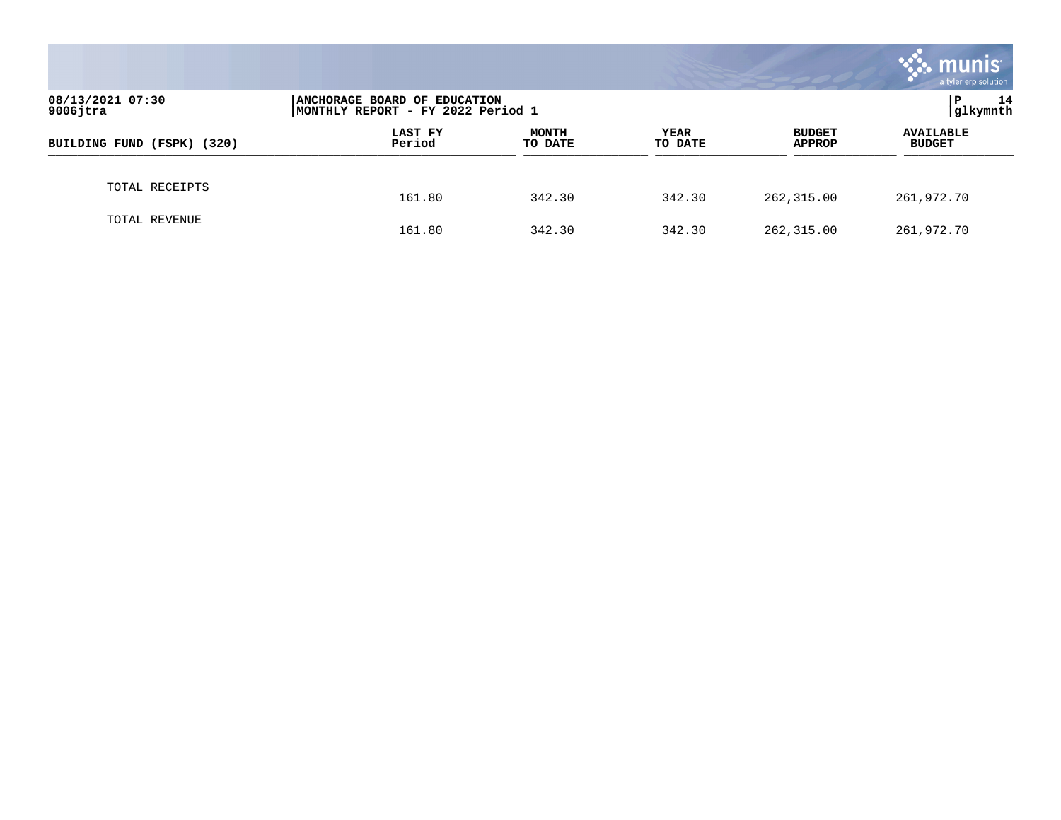|                                 |                                                                    |                         |                 |                                | munis<br>a tyler erp solution     |
|---------------------------------|--------------------------------------------------------------------|-------------------------|-----------------|--------------------------------|-----------------------------------|
| 08/13/2021 07:30<br>$9006$ jtra | ANCHORAGE BOARD OF EDUCATION<br> MONTHLY REPORT - FY 2022 Period 1 |                         |                 |                                | 14<br>P<br>glkymnth               |
| BUILDING FUND (FSPK) (320)      | <b>LAST FY</b><br>Period                                           | <b>MONTH</b><br>TO DATE | YEAR<br>TO DATE | <b>BUDGET</b><br><b>APPROP</b> | <b>AVAILABLE</b><br><b>BUDGET</b> |
| TOTAL RECEIPTS                  | 161.80                                                             | 342.30                  | 342.30          | 262,315.00                     | 261,972.70                        |
| TOTAL REVENUE                   | 161.80                                                             | 342.30                  | 342.30          | 262,315.00                     | 261,972.70                        |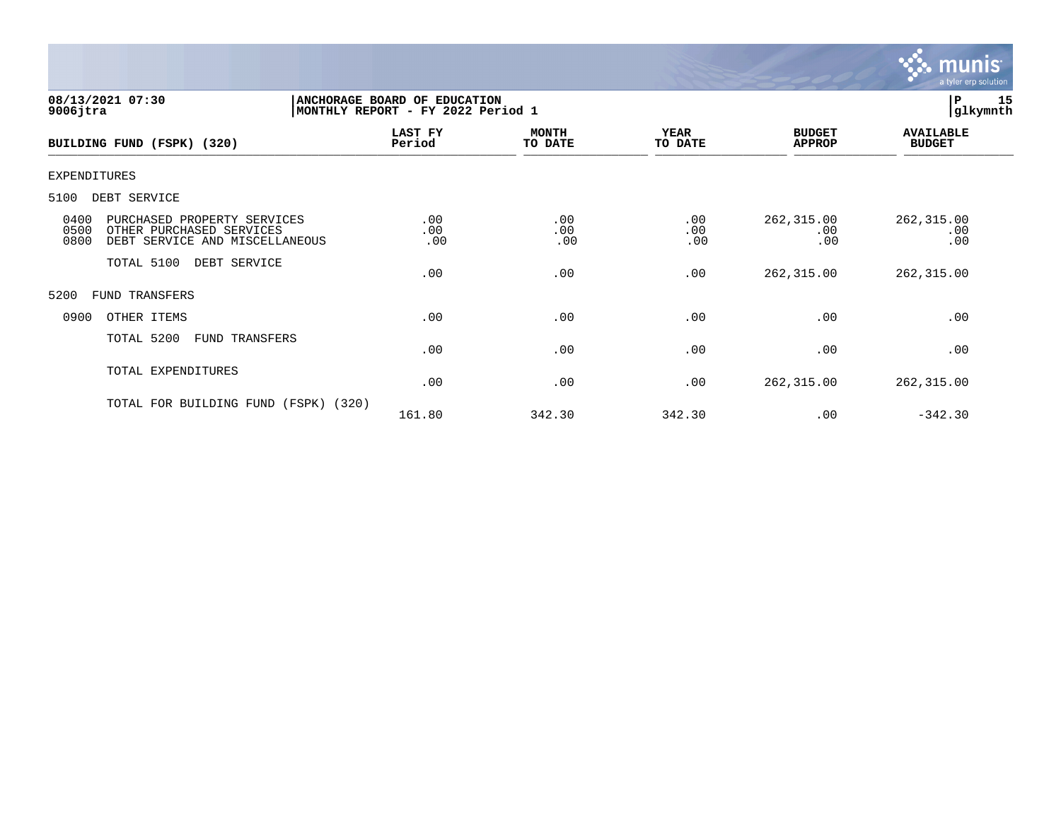

| 08/13/2021 07:30<br>$9006$ jtra                                                                                   | ANCHORAGE BOARD OF EDUCATION<br>MONTHLY REPORT - FY 2022 Period 1 | 15<br>l P<br> glkymnth  |                        |                                |                                   |  |
|-------------------------------------------------------------------------------------------------------------------|-------------------------------------------------------------------|-------------------------|------------------------|--------------------------------|-----------------------------------|--|
| BUILDING FUND (FSPK) (320)                                                                                        | LAST FY<br>Period                                                 | <b>MONTH</b><br>TO DATE | <b>YEAR</b><br>TO DATE | <b>BUDGET</b><br><b>APPROP</b> | <b>AVAILABLE</b><br><b>BUDGET</b> |  |
| <b>EXPENDITURES</b>                                                                                               |                                                                   |                         |                        |                                |                                   |  |
| 5100<br>DEBT SERVICE                                                                                              |                                                                   |                         |                        |                                |                                   |  |
| 0400<br>PURCHASED PROPERTY SERVICES<br>0500<br>OTHER PURCHASED SERVICES<br>0800<br>DEBT SERVICE AND MISCELLANEOUS | .00<br>.00<br>.00                                                 | .00<br>.00<br>.00       | .00<br>.00<br>.00      | 262,315.00<br>.00<br>.00       | 262,315.00<br>.00<br>.00          |  |
| TOTAL 5100<br>DEBT SERVICE                                                                                        | .00                                                               | .00                     | .00                    | 262,315.00                     | 262, 315.00                       |  |
| 5200<br><b>FUND TRANSFERS</b>                                                                                     |                                                                   |                         |                        |                                |                                   |  |
| 0900<br>OTHER ITEMS                                                                                               | .00                                                               | .00                     | .00                    | .00                            | .00                               |  |
| TOTAL 5200<br>FUND TRANSFERS                                                                                      | .00                                                               | .00                     | .00                    | .00                            | .00                               |  |
| TOTAL EXPENDITURES                                                                                                | .00                                                               | .00                     | .00                    | 262,315.00                     | 262, 315.00                       |  |
| TOTAL FOR BUILDING FUND<br>(FSPK) (320)                                                                           | 161.80                                                            | 342.30                  | 342.30                 | .00                            | $-342.30$                         |  |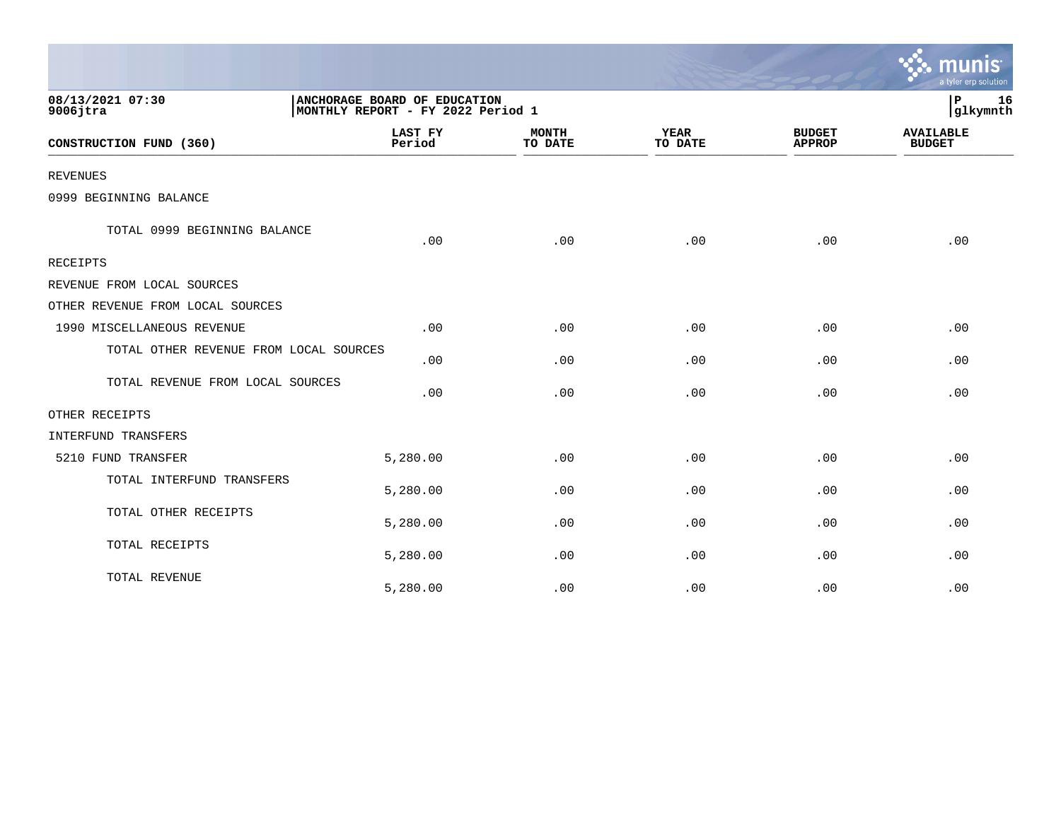|                                        |                                                                   |                         |                        |                                | a tyler erp solution              |
|----------------------------------------|-------------------------------------------------------------------|-------------------------|------------------------|--------------------------------|-----------------------------------|
| 08/13/2021 07:30<br>$9006$ jtra        | ANCHORAGE BOARD OF EDUCATION<br>MONTHLY REPORT - FY 2022 Period 1 |                         |                        |                                | 16<br>P<br>glkymnth               |
| CONSTRUCTION FUND (360)                | <b>LAST FY</b><br>Period                                          | <b>MONTH</b><br>TO DATE | <b>YEAR</b><br>TO DATE | <b>BUDGET</b><br><b>APPROP</b> | <b>AVAILABLE</b><br><b>BUDGET</b> |
| <b>REVENUES</b>                        |                                                                   |                         |                        |                                |                                   |
| 0999 BEGINNING BALANCE                 |                                                                   |                         |                        |                                |                                   |
| TOTAL 0999 BEGINNING BALANCE           | .00                                                               | .00                     | .00                    | .00                            | .00                               |
| RECEIPTS                               |                                                                   |                         |                        |                                |                                   |
| REVENUE FROM LOCAL SOURCES             |                                                                   |                         |                        |                                |                                   |
| OTHER REVENUE FROM LOCAL SOURCES       |                                                                   |                         |                        |                                |                                   |
| 1990 MISCELLANEOUS REVENUE             | .00                                                               | .00                     | .00                    | .00                            | .00                               |
| TOTAL OTHER REVENUE FROM LOCAL SOURCES | .00                                                               | .00                     | .00                    | .00                            | .00                               |
| TOTAL REVENUE FROM LOCAL SOURCES       | .00                                                               | .00                     | .00                    | .00                            | .00                               |
| OTHER RECEIPTS                         |                                                                   |                         |                        |                                |                                   |
| <b>INTERFUND TRANSFERS</b>             |                                                                   |                         |                        |                                |                                   |
| 5210 FUND TRANSFER                     | 5,280.00                                                          | .00                     | .00                    | .00                            | .00                               |
| TOTAL INTERFUND TRANSFERS              | 5,280.00                                                          | .00                     | .00                    | .00                            | .00                               |
| TOTAL OTHER RECEIPTS                   | 5,280.00                                                          | .00                     | .00                    | .00                            | .00                               |
| TOTAL RECEIPTS                         | 5,280.00                                                          | .00                     | .00                    | .00                            | .00                               |
| TOTAL REVENUE                          | 5,280.00                                                          | .00                     | .00                    | .00                            | .00                               |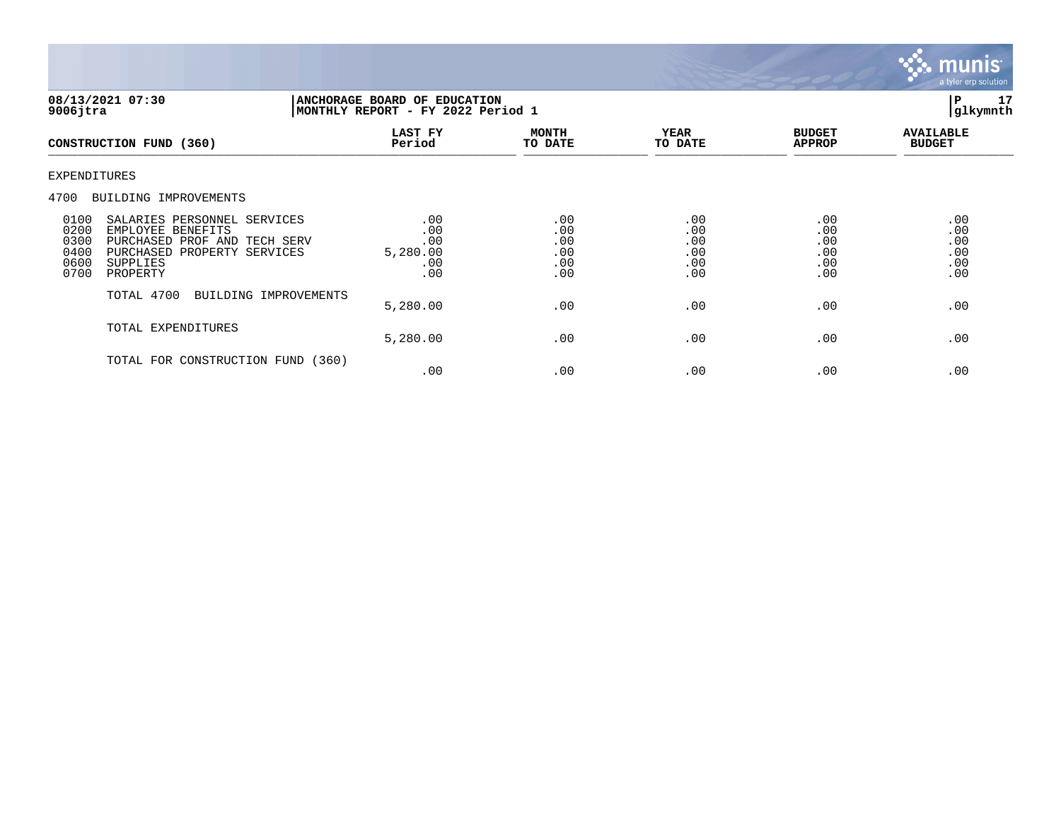

| 08/13/2021 07:30<br>$9006$ jtra                                                                                                                                                         | ANCHORAGE BOARD OF EDUCATION<br>MONTHLY REPORT - FY 2022 Period 1 | $\, {\bf P}$<br>17<br>glkymnth         |                                        |                                        |                                        |
|-----------------------------------------------------------------------------------------------------------------------------------------------------------------------------------------|-------------------------------------------------------------------|----------------------------------------|----------------------------------------|----------------------------------------|----------------------------------------|
| CONSTRUCTION FUND (360)                                                                                                                                                                 | LAST FY<br>Period                                                 | <b>MONTH</b><br>TO DATE                | <b>YEAR</b><br>TO DATE                 | <b>BUDGET</b><br><b>APPROP</b>         | <b>AVAILABLE</b><br><b>BUDGET</b>      |
| EXPENDITURES                                                                                                                                                                            |                                                                   |                                        |                                        |                                        |                                        |
| 4700<br>BUILDING IMPROVEMENTS                                                                                                                                                           |                                                                   |                                        |                                        |                                        |                                        |
| 0100<br>SALARIES PERSONNEL SERVICES<br>0200<br>EMPLOYEE BENEFITS<br>0300<br>PURCHASED PROF AND TECH SERV<br>0400<br>PURCHASED PROPERTY SERVICES<br>0600<br>SUPPLIES<br>0700<br>PROPERTY | .00<br>.00<br>.00<br>5,280.00<br>.00<br>.00                       | .00<br>.00<br>.00<br>.00<br>.00<br>.00 | .00<br>.00<br>.00<br>.00<br>.00<br>.00 | .00<br>.00<br>.00<br>.00<br>.00<br>.00 | .00<br>.00<br>.00<br>.00<br>.00<br>.00 |
| TOTAL 4700<br>BUILDING IMPROVEMENTS                                                                                                                                                     | 5,280.00                                                          | .00                                    | .00                                    | .00                                    | .00                                    |
| TOTAL EXPENDITURES                                                                                                                                                                      | 5,280.00                                                          | .00                                    | .00                                    | .00                                    | .00                                    |
| TOTAL FOR CONSTRUCTION FUND                                                                                                                                                             | (360)<br>.00                                                      | .00                                    | .00                                    | .00                                    | .00                                    |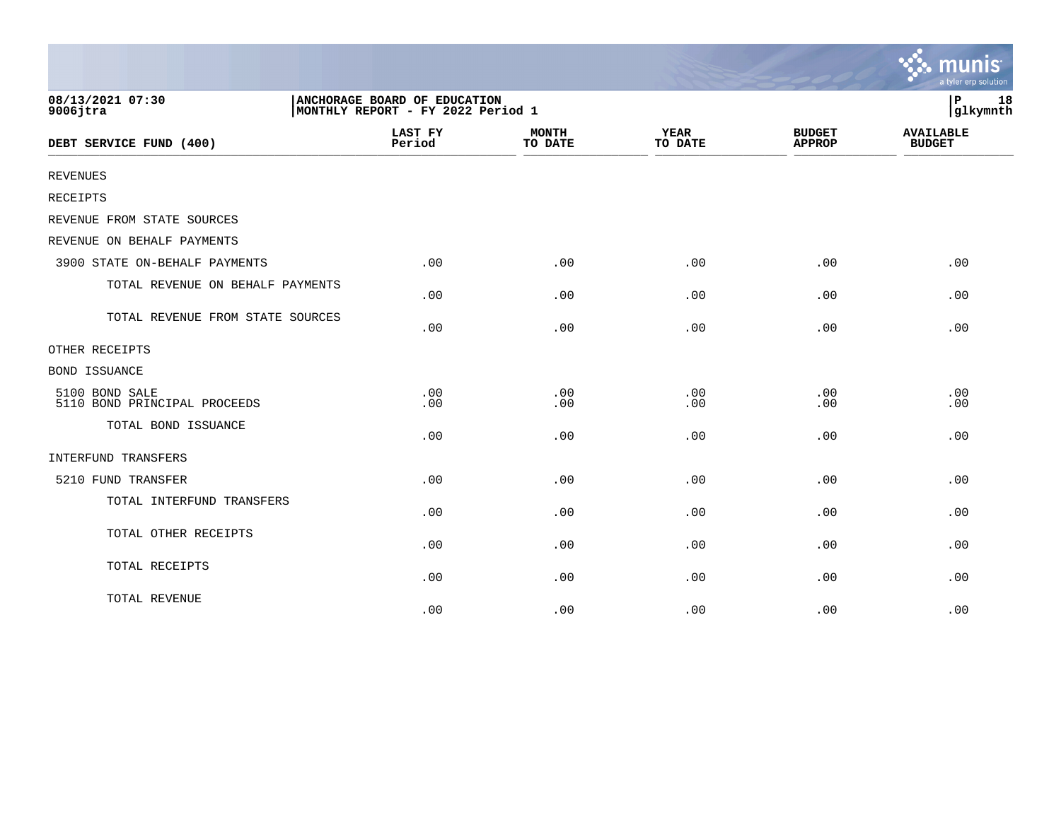|                                                |                                                                   |                         |                        |                                | munis<br>a tyler erp solution     |
|------------------------------------------------|-------------------------------------------------------------------|-------------------------|------------------------|--------------------------------|-----------------------------------|
| 08/13/2021 07:30<br>$9006$ jtra                | ANCHORAGE BOARD OF EDUCATION<br>MONTHLY REPORT - FY 2022 Period 1 |                         |                        |                                | $\, {\bf P}$<br>18<br>glkymnth    |
| DEBT SERVICE FUND (400)                        | <b>LAST FY</b><br>Period                                          | <b>MONTH</b><br>TO DATE | <b>YEAR</b><br>TO DATE | <b>BUDGET</b><br><b>APPROP</b> | <b>AVAILABLE</b><br><b>BUDGET</b> |
| <b>REVENUES</b>                                |                                                                   |                         |                        |                                |                                   |
| <b>RECEIPTS</b>                                |                                                                   |                         |                        |                                |                                   |
| REVENUE FROM STATE SOURCES                     |                                                                   |                         |                        |                                |                                   |
| REVENUE ON BEHALF PAYMENTS                     |                                                                   |                         |                        |                                |                                   |
| 3900 STATE ON-BEHALF PAYMENTS                  | .00                                                               | .00                     | .00                    | .00                            | .00                               |
| TOTAL REVENUE ON BEHALF PAYMENTS               | .00                                                               | .00                     | .00                    | .00                            | .00                               |
| TOTAL REVENUE FROM STATE SOURCES               | .00                                                               | .00                     | .00                    | .00                            | .00                               |
| OTHER RECEIPTS                                 |                                                                   |                         |                        |                                |                                   |
| <b>BOND ISSUANCE</b>                           |                                                                   |                         |                        |                                |                                   |
| 5100 BOND SALE<br>5110 BOND PRINCIPAL PROCEEDS | .00<br>.00                                                        | .00<br>.00              | .00<br>.00             | .00<br>.00                     | .00<br>.00                        |
| TOTAL BOND ISSUANCE                            | .00                                                               | .00                     | .00                    | .00                            | .00                               |
| INTERFUND TRANSFERS                            |                                                                   |                         |                        |                                |                                   |
| 5210 FUND TRANSFER                             | .00                                                               | .00                     | .00                    | .00                            | .00                               |
| TOTAL INTERFUND TRANSFERS                      | .00                                                               | .00                     | .00                    | .00                            | .00                               |
| TOTAL OTHER RECEIPTS                           | .00                                                               | .00                     | .00                    | .00                            | .00                               |
| TOTAL RECEIPTS                                 | .00                                                               | .00                     | .00                    | .00                            | .00                               |
| TOTAL REVENUE                                  | .00                                                               | .00                     | .00                    | .00                            | .00                               |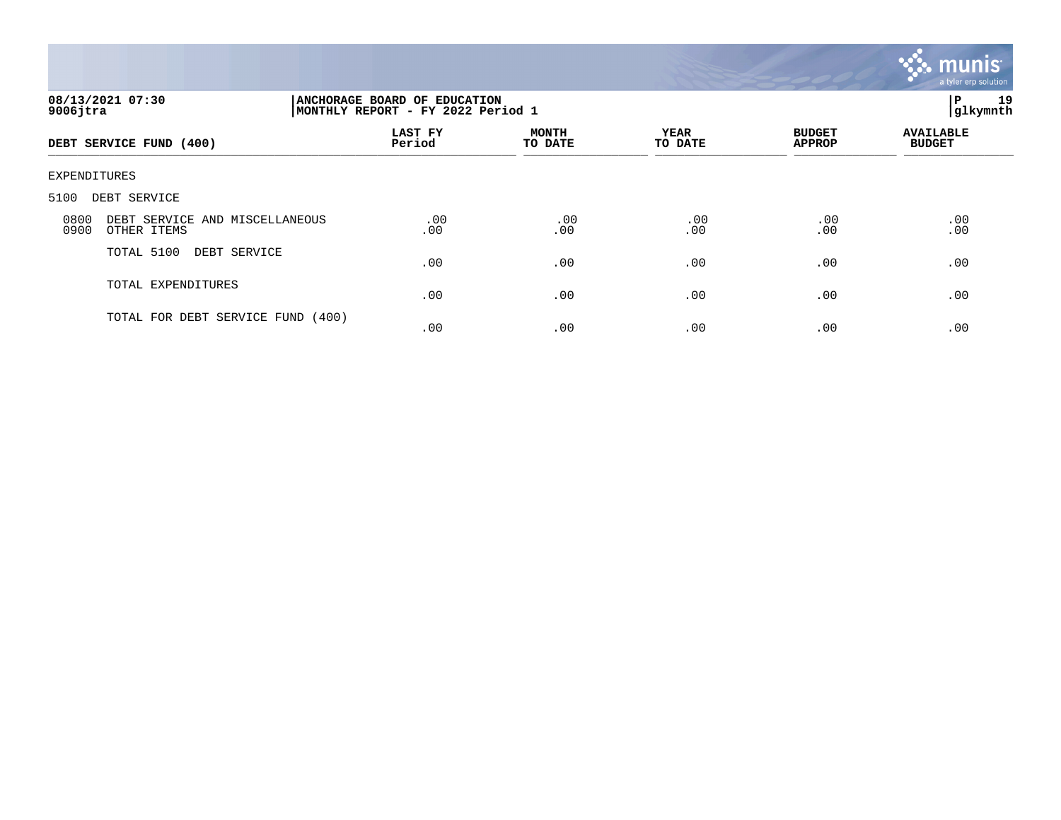

| 08/13/2021 07:30<br>$9006$ jtra                               | ANCHORAGE BOARD OF EDUCATION<br>MONTHLY REPORT - FY 2022 Period 1 |                         |                        |                                |                                   |
|---------------------------------------------------------------|-------------------------------------------------------------------|-------------------------|------------------------|--------------------------------|-----------------------------------|
| DEBT SERVICE FUND (400)                                       | LAST FY<br>Period                                                 | <b>MONTH</b><br>TO DATE | <b>YEAR</b><br>TO DATE | <b>BUDGET</b><br><b>APPROP</b> | <b>AVAILABLE</b><br><b>BUDGET</b> |
| EXPENDITURES                                                  |                                                                   |                         |                        |                                |                                   |
| 5100<br>DEBT SERVICE                                          |                                                                   |                         |                        |                                |                                   |
| DEBT SERVICE AND MISCELLANEOUS<br>0800<br>0900<br>OTHER ITEMS | .00<br>.00                                                        | .00<br>.00              | .00<br>.00             | .00<br>.00                     | .00<br>.00                        |
| TOTAL 5100<br>DEBT SERVICE                                    | .00                                                               | .00                     | .00                    | .00                            | .00                               |
| TOTAL EXPENDITURES                                            | .00                                                               | .00                     | .00                    | .00                            | .00                               |
| TOTAL FOR DEBT SERVICE FUND (400)                             | .00                                                               | .00                     | .00                    | .00                            | .00                               |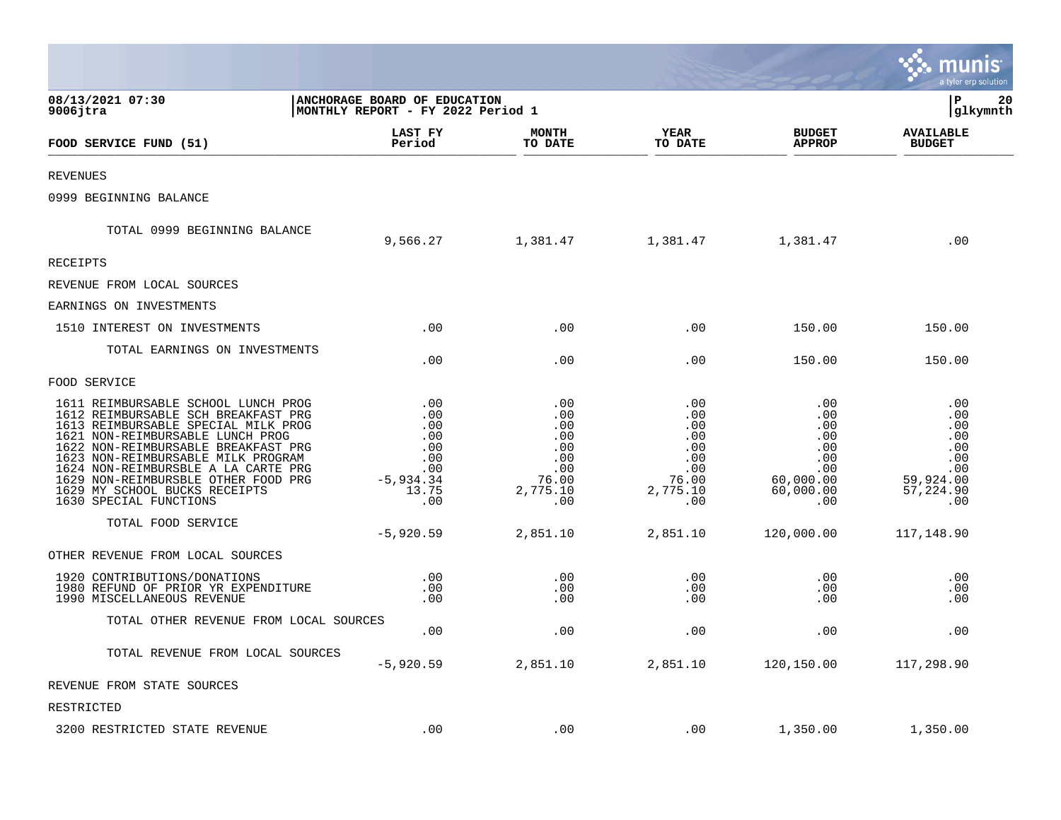|                                                                                                                                                                                                                                                                                                                                                                             |                                                                               |                                                                           |                                                                           |                                                                                | a tyler erp solution                                                           |
|-----------------------------------------------------------------------------------------------------------------------------------------------------------------------------------------------------------------------------------------------------------------------------------------------------------------------------------------------------------------------------|-------------------------------------------------------------------------------|---------------------------------------------------------------------------|---------------------------------------------------------------------------|--------------------------------------------------------------------------------|--------------------------------------------------------------------------------|
| 08/13/2021 07:30<br>$9006$ jtra                                                                                                                                                                                                                                                                                                                                             | ANCHORAGE BOARD OF EDUCATION<br>MONTHLY REPORT - FY 2022 Period 1             |                                                                           |                                                                           |                                                                                | $\mathbf{P}$<br>20<br>glkymnth                                                 |
| FOOD SERVICE FUND (51)                                                                                                                                                                                                                                                                                                                                                      | LAST FY<br>Period                                                             | MONTH<br>TO DATE                                                          | <b>YEAR</b><br>TO DATE                                                    | <b>BUDGET</b><br><b>APPROP</b>                                                 | <b>AVAILABLE</b><br><b>BUDGET</b>                                              |
| <b>REVENUES</b>                                                                                                                                                                                                                                                                                                                                                             |                                                                               |                                                                           |                                                                           |                                                                                |                                                                                |
| 0999 BEGINNING BALANCE                                                                                                                                                                                                                                                                                                                                                      |                                                                               |                                                                           |                                                                           |                                                                                |                                                                                |
| TOTAL 0999 BEGINNING BALANCE                                                                                                                                                                                                                                                                                                                                                | 9,566.27                                                                      | 1,381.47                                                                  | 1,381.47                                                                  | 1,381.47                                                                       | .00                                                                            |
| <b>RECEIPTS</b>                                                                                                                                                                                                                                                                                                                                                             |                                                                               |                                                                           |                                                                           |                                                                                |                                                                                |
| REVENUE FROM LOCAL SOURCES                                                                                                                                                                                                                                                                                                                                                  |                                                                               |                                                                           |                                                                           |                                                                                |                                                                                |
| EARNINGS ON INVESTMENTS                                                                                                                                                                                                                                                                                                                                                     |                                                                               |                                                                           |                                                                           |                                                                                |                                                                                |
| 1510 INTEREST ON INVESTMENTS                                                                                                                                                                                                                                                                                                                                                | .00                                                                           | .00                                                                       | .00                                                                       | 150.00                                                                         | 150.00                                                                         |
| TOTAL EARNINGS ON INVESTMENTS                                                                                                                                                                                                                                                                                                                                               | .00                                                                           | .00                                                                       | .00                                                                       | 150.00                                                                         | 150.00                                                                         |
| FOOD SERVICE                                                                                                                                                                                                                                                                                                                                                                |                                                                               |                                                                           |                                                                           |                                                                                |                                                                                |
| 1611 REIMBURSABLE SCHOOL LUNCH PROG<br>1612 REIMBURSABLE SCH BREAKFAST PRG<br>1613 REIMBURSABLE SPECIAL MILK PROG<br>1621 NON-REIMBURSABLE LUNCH PROG<br>1622 NON-REIMBURSABLE BREAKFAST PRG<br>1623 NON-REIMBURSABLE MILK PROGRAM<br>1624 NON-REIMBURSBLE A LA CARTE PRG<br>1629 NON-REIMBURSBLE OTHER FOOD PRG<br>1629 MY SCHOOL BUCKS RECEIPTS<br>1630 SPECIAL FUNCTIONS | .00<br>.00<br>.00<br>.00<br>.00<br>.00<br>.00<br>$-5, 934.34$<br>13.75<br>.00 | .00<br>.00<br>.00<br>.00<br>.00<br>.00<br>.00<br>76.00<br>2,775.10<br>.00 | .00<br>.00<br>.00<br>.00<br>.00<br>.00<br>.00<br>76.00<br>2,775.10<br>.00 | .00<br>.00<br>.00<br>.00<br>.00<br>.00<br>.00<br>60,000.00<br>60,000.00<br>.00 | .00<br>.00<br>.00<br>.00<br>.00<br>.00<br>.00<br>59,924.00<br>57,224.90<br>.00 |
| TOTAL FOOD SERVICE                                                                                                                                                                                                                                                                                                                                                          | $-5,920.59$                                                                   | 2,851.10                                                                  | 2,851.10                                                                  | 120,000.00                                                                     | 117,148.90                                                                     |
| OTHER REVENUE FROM LOCAL SOURCES                                                                                                                                                                                                                                                                                                                                            |                                                                               |                                                                           |                                                                           |                                                                                |                                                                                |
| 1920 CONTRIBUTIONS/DONATIONS<br>1980 REFUND OF PRIOR YR EXPENDITURE<br>1990 MISCELLANEOUS REVENUE                                                                                                                                                                                                                                                                           | .00<br>.00<br>.00                                                             | .00<br>.00<br>.00                                                         | .00<br>.00<br>.00                                                         | .00<br>.00<br>.00                                                              | .00<br>.00<br>.00                                                              |
| TOTAL OTHER REVENUE FROM LOCAL SOURCES                                                                                                                                                                                                                                                                                                                                      | .00                                                                           | .00                                                                       | .00                                                                       | .00                                                                            | .00                                                                            |
| TOTAL REVENUE FROM LOCAL SOURCES                                                                                                                                                                                                                                                                                                                                            | $-5,920.59$                                                                   | 2,851.10                                                                  | 2,851.10                                                                  | 120,150.00                                                                     | 117,298.90                                                                     |
| REVENUE FROM STATE SOURCES                                                                                                                                                                                                                                                                                                                                                  |                                                                               |                                                                           |                                                                           |                                                                                |                                                                                |
| RESTRICTED                                                                                                                                                                                                                                                                                                                                                                  |                                                                               |                                                                           |                                                                           |                                                                                |                                                                                |
| 3200 RESTRICTED STATE REVENUE                                                                                                                                                                                                                                                                                                                                               | .00                                                                           | .00                                                                       | .00                                                                       | 1,350.00                                                                       | 1,350.00                                                                       |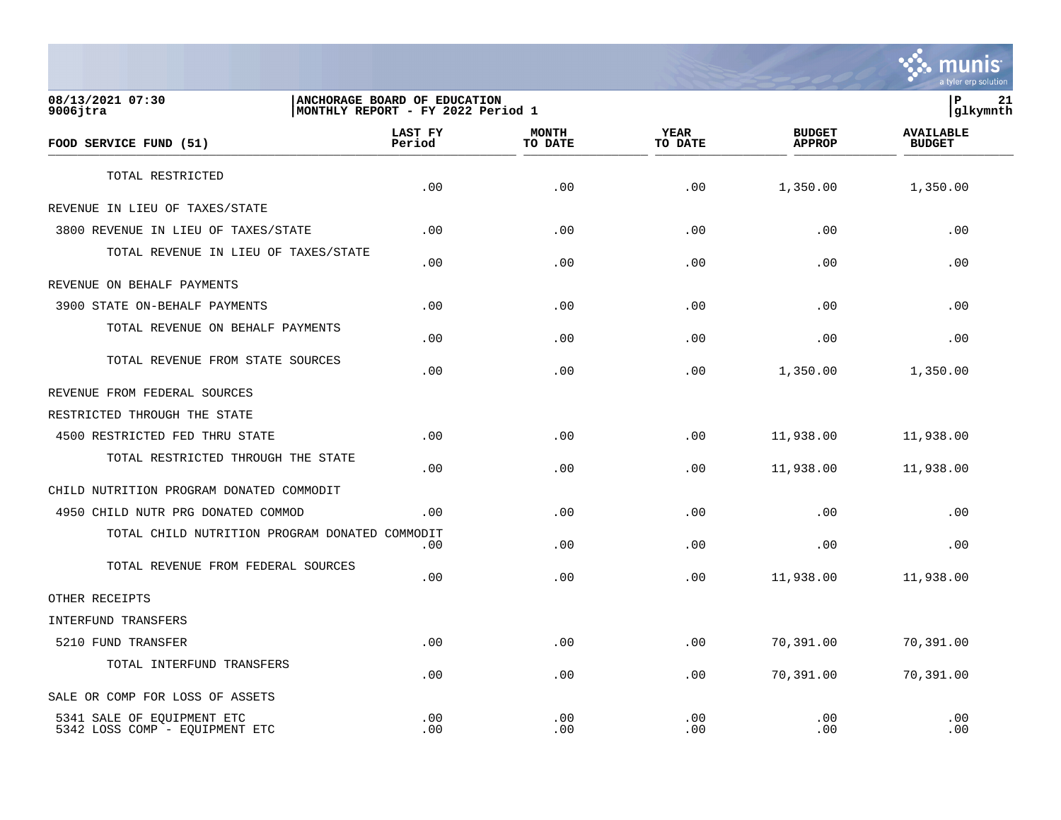

## **08/13/2021 07:30 |ANCHORAGE BOARD OF EDUCATION |P 21 9006jtra |MONTHLY REPORT - FY 2022 Period 1 |glkymnth**

| FOOD SERVICE FUND (51)                                       | LAST FY<br>Period | <b>MONTH</b><br>TO DATE | <b>YEAR</b><br>TO DATE | <b>BUDGET</b><br><b>APPROP</b> | <b>AVAILABLE</b><br><b>BUDGET</b> |  |
|--------------------------------------------------------------|-------------------|-------------------------|------------------------|--------------------------------|-----------------------------------|--|
| TOTAL RESTRICTED                                             |                   |                         |                        |                                |                                   |  |
|                                                              | .00               | .00                     | .00                    | 1,350.00                       | 1,350.00                          |  |
| REVENUE IN LIEU OF TAXES/STATE                               |                   |                         |                        |                                |                                   |  |
| 3800 REVENUE IN LIEU OF TAXES/STATE                          | .00               | .00                     | .00                    | .00                            | .00                               |  |
| TOTAL REVENUE IN LIEU OF TAXES/STATE                         | .00               | .00                     | .00                    | .00                            | .00                               |  |
| REVENUE ON BEHALF PAYMENTS                                   |                   |                         |                        |                                |                                   |  |
| 3900 STATE ON-BEHALF PAYMENTS                                | .00               | .00                     | .00                    | .00                            | .00                               |  |
| TOTAL REVENUE ON BEHALF PAYMENTS                             | .00               | .00                     | .00                    | .00                            | .00                               |  |
| TOTAL REVENUE FROM STATE SOURCES                             | .00               | .00                     | .00                    | 1,350.00                       | 1,350.00                          |  |
| REVENUE FROM FEDERAL SOURCES                                 |                   |                         |                        |                                |                                   |  |
| RESTRICTED THROUGH THE STATE                                 |                   |                         |                        |                                |                                   |  |
| 4500 RESTRICTED FED THRU STATE                               | .00               | .00                     | .00                    | 11,938.00                      | 11,938.00                         |  |
| TOTAL RESTRICTED THROUGH THE STATE                           | .00               | .00                     | .00                    | 11,938.00                      | 11,938.00                         |  |
| CHILD NUTRITION PROGRAM DONATED COMMODIT                     |                   |                         |                        |                                |                                   |  |
| 4950 CHILD NUTR PRG DONATED COMMOD                           | .00               | .00                     | .00                    | .00                            | .00                               |  |
| TOTAL CHILD NUTRITION PROGRAM DONATED COMMODIT               | .00               | .00                     | .00                    | .00                            | .00                               |  |
| TOTAL REVENUE FROM FEDERAL SOURCES                           | .00               | .00                     | .00                    | 11,938.00                      | 11,938.00                         |  |
| OTHER RECEIPTS                                               |                   |                         |                        |                                |                                   |  |
| INTERFUND TRANSFERS                                          |                   |                         |                        |                                |                                   |  |
| 5210 FUND TRANSFER                                           | .00               | .00                     | .00                    | 70,391.00                      | 70,391.00                         |  |
| TOTAL INTERFUND TRANSFERS                                    | .00               | .00                     | .00                    | 70,391.00                      | 70,391.00                         |  |
| SALE OR COMP FOR LOSS OF ASSETS                              |                   |                         |                        |                                |                                   |  |
| 5341 SALE OF EQUIPMENT ETC<br>5342 LOSS COMP - EQUIPMENT ETC | .00<br>.00        | .00<br>.00              | .00<br>.00             | .00<br>.00                     | .00<br>.00                        |  |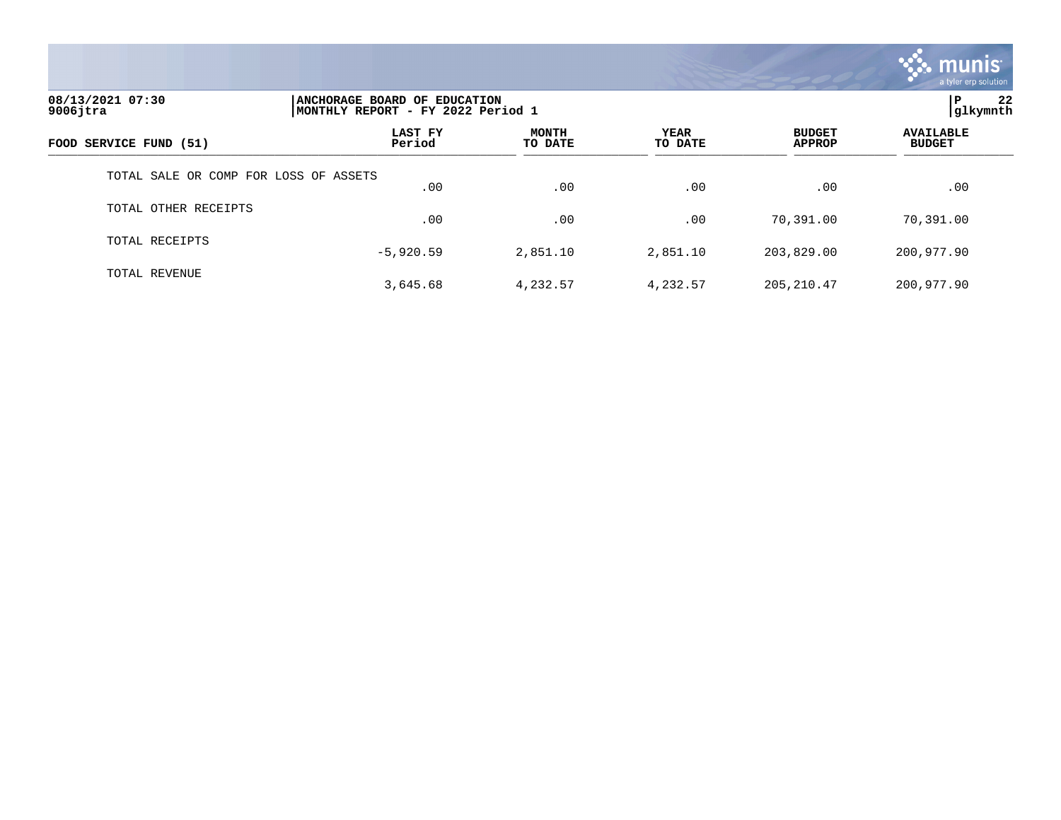

| 08/13/2021 07:30<br>$9006$ jtra       |                   | ANCHORAGE BOARD OF EDUCATION<br> MONTHLY REPORT - FY 2022 Period 1 |                        |                                |                                   |  |  |
|---------------------------------------|-------------------|--------------------------------------------------------------------|------------------------|--------------------------------|-----------------------------------|--|--|
| FOOD SERVICE FUND (51)                | LAST FY<br>Period | <b>MONTH</b><br>TO DATE                                            | <b>YEAR</b><br>TO DATE | <b>BUDGET</b><br><b>APPROP</b> | <b>AVAILABLE</b><br><b>BUDGET</b> |  |  |
| TOTAL SALE OR COMP FOR LOSS OF ASSETS | .00               | .00                                                                | .00                    | .00                            | .00                               |  |  |
| TOTAL OTHER RECEIPTS                  | .00               | .00                                                                | .00                    | 70,391.00                      | 70,391.00                         |  |  |
| TOTAL RECEIPTS                        | $-5,920.59$       | 2,851.10                                                           | 2,851.10               | 203,829.00                     | 200,977.90                        |  |  |
| TOTAL REVENUE                         | 3,645.68          | 4,232.57                                                           | 4,232.57               | 205, 210.47                    | 200,977.90                        |  |  |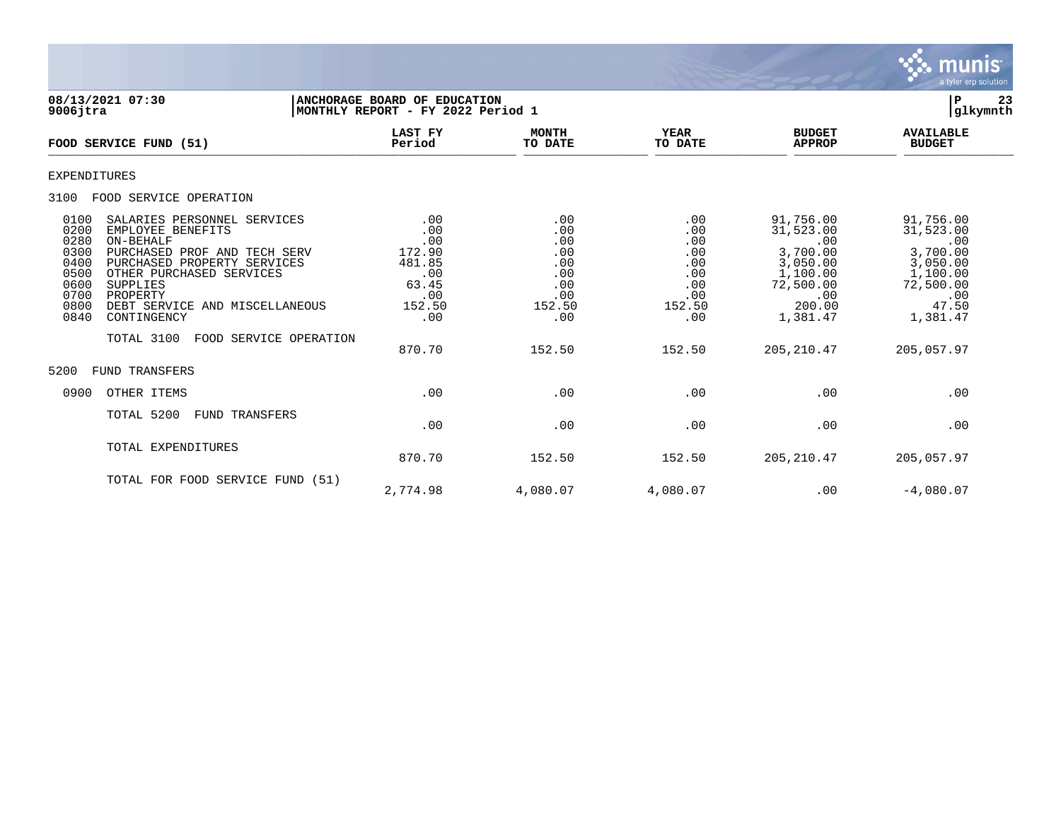

**08/13/2021 07:30 |ANCHORAGE BOARD OF EDUCATION |P 23 9006jtra |MONTHLY REPORT - FY 2022 Period 1 |glkymnth LAST FY MONTH YEAR BUDGET AVAILABLE FOOD SERVICE FUND (51) Period TO DATE TO DATE APPROP BUDGET**   $\frac{10 \text{ BFR}}{10 \text{ BFR}}$ EXPENDITURES 3100 FOOD SERVICE OPERATION 0100 SALARIES PERSONNEL SERVICES .00 .00 .00 .00 .00 .00 .00 91,756.00 91,756.00 91,756.00<br>0200 EMPLOYEE BENEFITS .00 .00 .00 .00 .00 .00 .00 .00 31,523.00 31,523.00 0200 EMPLOYEE BENEFITS .00 .00 .00 31,523.00 31,523.00 0280 ON-BEHALF .00 .00 .00 .00 .00 0300 PURCHASED PROF AND TECH SERV  $\begin{array}{cccc} 172.90 & & & 0.00 & & & 0.00 & & 3,700.00 & & 3,700.00 & & 3,050.00 & & 3,050.00 & & 3,050.00 & & 3,050.00 & & 3,050.00 & & 3,050.00 & & 3,050.00 & & 3,050.00 & & 3,050.00 & & 3,050.00 & & 3,050.00 & & 3,050.00 & &$  0400 PURCHASED PROPERTY SERVICES 481.85 .00 .00 3,050.00 3,050.00 0500 OTHER PURCHASED SERVICES .00 .00 .00 1,100.00 1,100.00 0600 SUPPLIES 63.45 .00 .00 72,500.00 72,500.00 0700 PROPERTY .00 .00 .00 .00 .00 0800 DEBT SERVICE AND MISCELLANEOUS 152.50 152.50 152.50 200.00 47.50 0840 CONTINGENCY TOTAL 3100 FOOD SERVICE OPERATION 870.70 152.50 152.50 205,210.47 205,057.97 5200 FUND TRANSFERS 0900 OTHER ITEMS .00 .00 .00 .00 .00 TOTAL 5200 FUND TRANSFERS  $.00$  .  $.00$  .  $.00$  .  $.00$  .  $.00$  .  $.00$  .  $.00$  .  $.00$  .  $.00$  .  $.00$  .  $.00$  .  $.00$  .  $.00$  .  $.00$  .  $.00$  .  $.00$  .  $.00$  .  $.00$  .  $.00$  .  $.00$  .  $.00$  .  $.00$  .  $.00$  .  $.00$  .  $.00$  .  $.00$  .  $.00$  .  $.00$ TOTAL EXPENDITURES 870.70 152.50 152.50 205,210.47 205,057.97 TOTAL FOR FOOD SERVICE FUND (51)

2,774.98 4,080.07 4,080.07 .00 -4,080.07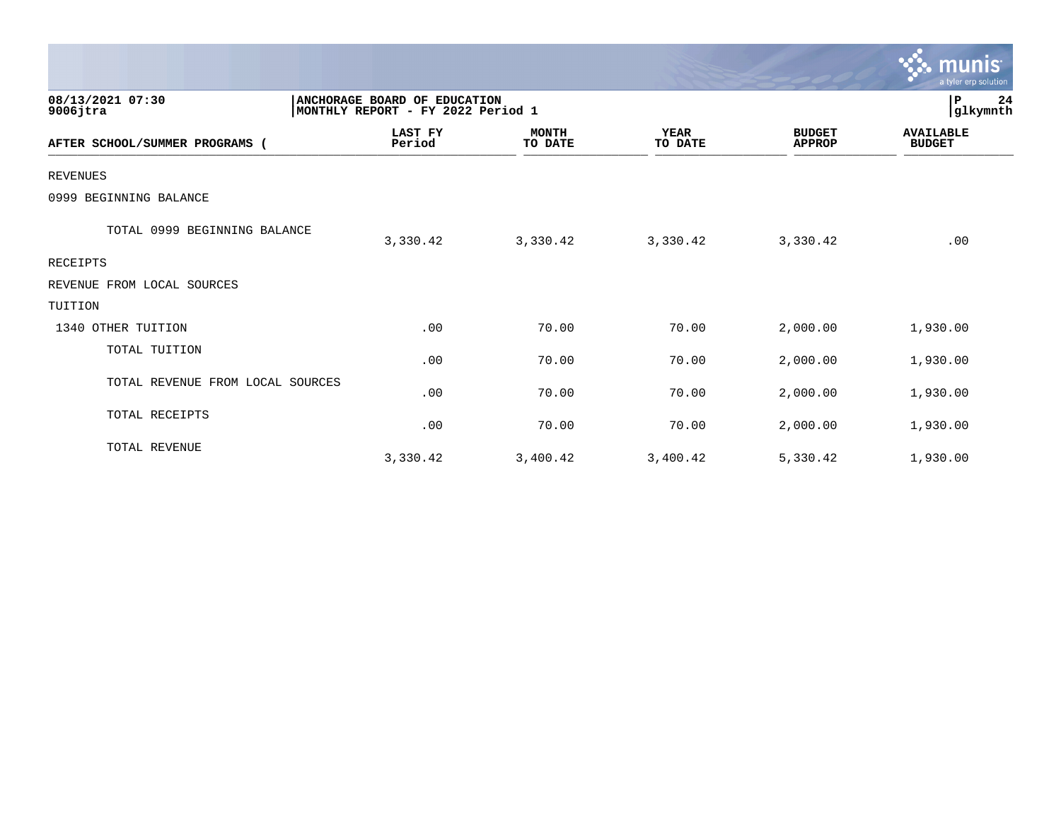|                                  |                                                                   |                         |                        |                                | munis<br>a tyler erp solution     |
|----------------------------------|-------------------------------------------------------------------|-------------------------|------------------------|--------------------------------|-----------------------------------|
| 08/13/2021 07:30<br>$9006$ jtra  | ANCHORAGE BOARD OF EDUCATION<br>MONTHLY REPORT - FY 2022 Period 1 |                         |                        |                                | 24<br>P<br>glkymnth               |
| AFTER SCHOOL/SUMMER PROGRAMS     | <b>LAST FY</b><br>Period                                          | <b>MONTH</b><br>TO DATE | <b>YEAR</b><br>TO DATE | <b>BUDGET</b><br><b>APPROP</b> | <b>AVAILABLE</b><br><b>BUDGET</b> |
| <b>REVENUES</b>                  |                                                                   |                         |                        |                                |                                   |
| 0999 BEGINNING BALANCE           |                                                                   |                         |                        |                                |                                   |
| TOTAL 0999 BEGINNING BALANCE     | 3,330.42                                                          | 3,330.42                | 3,330.42               | 3,330.42                       | .00                               |
| RECEIPTS                         |                                                                   |                         |                        |                                |                                   |
| REVENUE FROM LOCAL SOURCES       |                                                                   |                         |                        |                                |                                   |
| TUITION                          |                                                                   |                         |                        |                                |                                   |
| 1340 OTHER TUITION               | .00                                                               | 70.00                   | 70.00                  | 2,000.00                       | 1,930.00                          |
| TOTAL TUITION                    | .00                                                               | 70.00                   | 70.00                  | 2,000.00                       | 1,930.00                          |
| TOTAL REVENUE FROM LOCAL SOURCES | .00                                                               | 70.00                   | 70.00                  | 2,000.00                       | 1,930.00                          |
| TOTAL RECEIPTS                   | .00                                                               | 70.00                   | 70.00                  | 2,000.00                       | 1,930.00                          |
| TOTAL REVENUE                    | 3,330.42                                                          | 3,400.42                | 3,400.42               | 5,330.42                       | 1,930.00                          |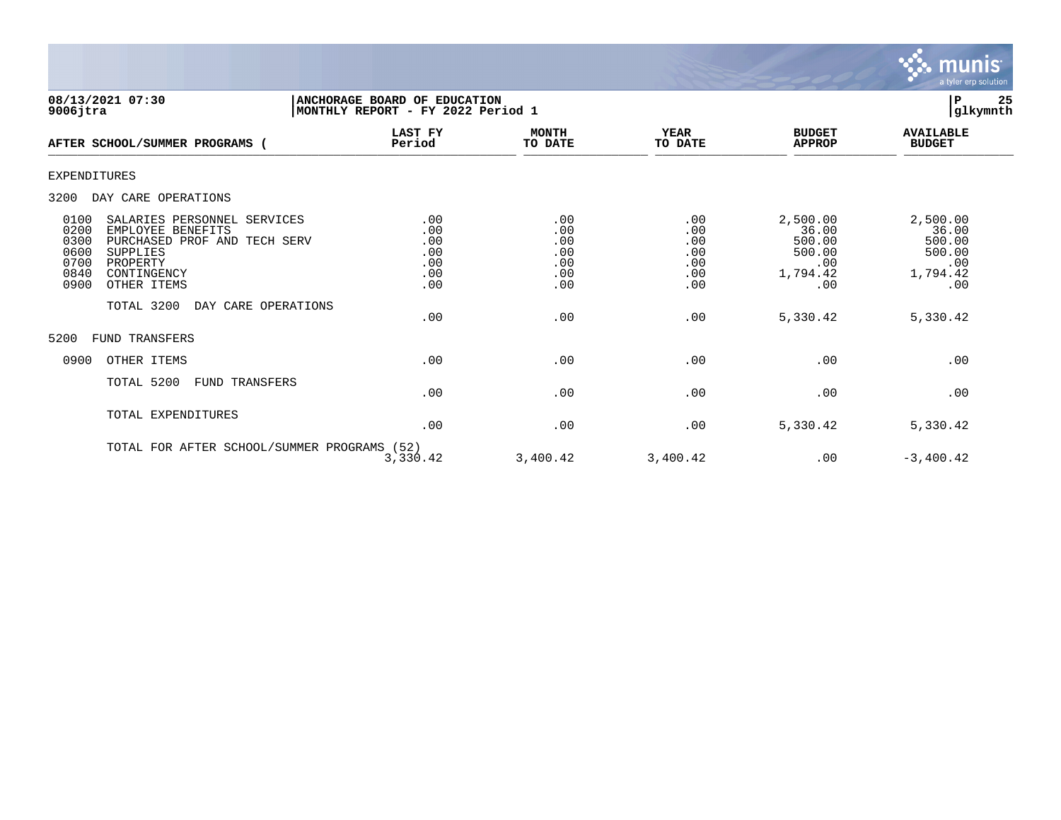

**08/13/2021 07:30 |ANCHORAGE BOARD OF EDUCATION |P 25 9006jtra |MONTHLY REPORT - FY 2022 Period 1 |glkymnth LAST FY MONTH YEAR BUDGET AVAILABLE AFTER SCHOOL/SUMMER PROGRAMS ( Period TO DATE TO DATE APPROP BUDGET**  AFTER SCROOLS SORRER PROGRAMS ( FELLOG FELLOG ) TO DALE EXPENDITURES 3200 DAY CARE OPERATIONS 0100 SALARIES PERSONNEL SERVICES .00 .00 .00 2,500.00 2,500.00 0200 EMPLOYEE BENEFITS .00 .00 .00 36.00 36.00 0300 PURCHASED PROF AND TECH SERV .00 .00 .00 500.00 500.00 0600 SUPPLIES .00 .00 .00 500.00 500.00 0700 PROPERTY .00 .00 .00 .00 .00 0840 CONTINGENCY .00 .00 .00 1,794.42 1,794.42 0900 OTHER ITEMS TOTAL 3200 DAY CARE OPERATIONS  $.00$   $.00$   $.00$   $.030$   $.00$   $.030$   $.02$   $.030$   $.02$   $.030$   $.02$   $.030$   $.02$   $.030$   $.02$   $.030$   $.042$ 5200 FUND TRANSFERS 0900 OTHER ITEMS .00 .00 .00 .00 .00 TOTAL 5200 FUND TRANSFERS  $.00$  .  $.00$  .  $.00$  .  $.00$  .  $.00$  .  $.00$  .  $.00$  .  $.00$  .  $.00$  .  $.00$  .  $.00$  .  $.00$  .  $.00$  .  $.00$  .  $.00$  .  $.00$  .  $.00$  .  $.00$  .  $.00$  .  $.00$  .  $.00$  .  $.00$  .  $.00$  .  $.00$  .  $.00$  .  $.00$  .  $.00$  .  $.00$ TOTAL EXPENDITURES  $.00$   $.00$   $.00$   $.030$   $.00$   $.030$   $.02$   $.030$   $.02$   $.030$   $.02$   $.030$   $.02$   $.030$   $.02$   $.030$   $.042$ 

TOTAL FOR AFTER SCHOOL/SUMMER PROGRAMS (52) 3,330.42 3,400.42 3,400.42 .00 -3,400.42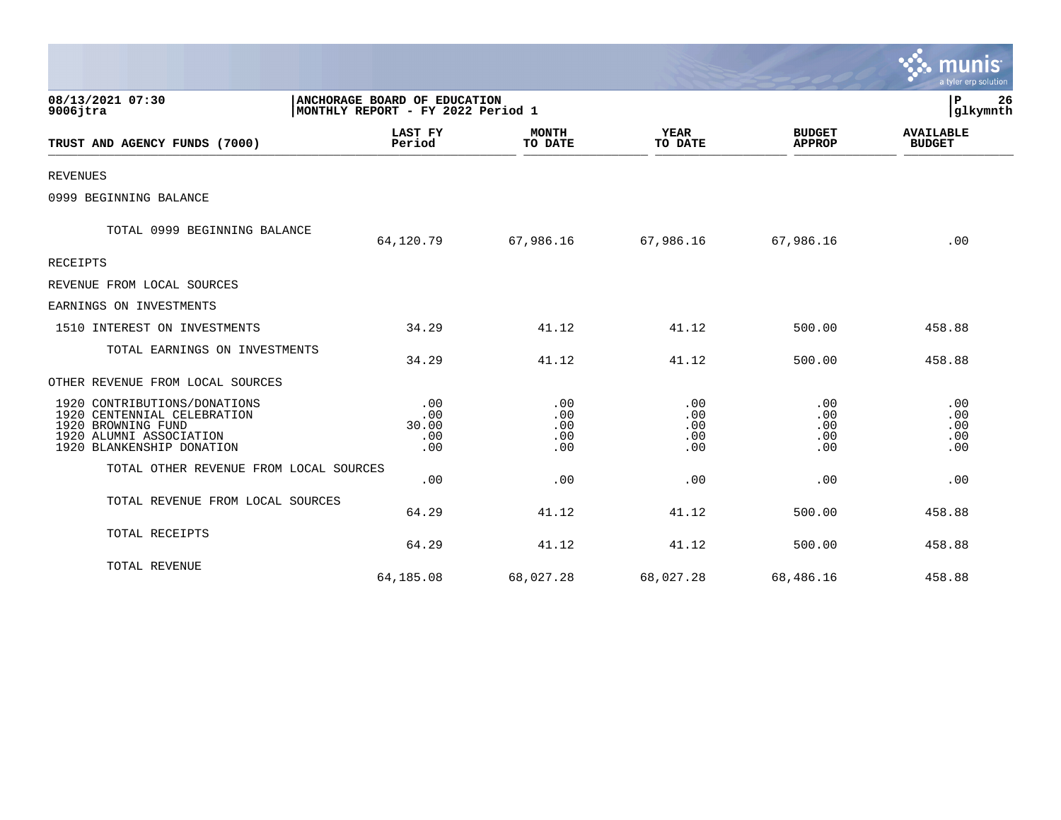|                                                                                                                                           |                                                                   |                                 |                                 |                                 | a tyler erp solution              |
|-------------------------------------------------------------------------------------------------------------------------------------------|-------------------------------------------------------------------|---------------------------------|---------------------------------|---------------------------------|-----------------------------------|
| 08/13/2021 07:30<br>$9006$ jtra                                                                                                           | ANCHORAGE BOARD OF EDUCATION<br>MONTHLY REPORT - FY 2022 Period 1 |                                 |                                 |                                 | 26<br>P<br>glkymnth               |
| TRUST AND AGENCY FUNDS (7000)                                                                                                             | <b>LAST FY</b><br>Period                                          | <b>MONTH</b><br>TO DATE         | <b>YEAR</b><br>TO DATE          | <b>BUDGET</b><br><b>APPROP</b>  | <b>AVAILABLE</b><br><b>BUDGET</b> |
| <b>REVENUES</b>                                                                                                                           |                                                                   |                                 |                                 |                                 |                                   |
| 0999 BEGINNING BALANCE                                                                                                                    |                                                                   |                                 |                                 |                                 |                                   |
| TOTAL 0999 BEGINNING BALANCE                                                                                                              | 64,120.79                                                         | 67,986.16                       | 67,986.16                       | 67,986.16                       | .00                               |
| <b>RECEIPTS</b>                                                                                                                           |                                                                   |                                 |                                 |                                 |                                   |
| REVENUE FROM LOCAL SOURCES                                                                                                                |                                                                   |                                 |                                 |                                 |                                   |
| EARNINGS ON INVESTMENTS                                                                                                                   |                                                                   |                                 |                                 |                                 |                                   |
| 1510 INTEREST ON INVESTMENTS                                                                                                              | 34.29                                                             | 41.12                           | 41.12                           | 500.00                          | 458.88                            |
| TOTAL EARNINGS ON INVESTMENTS                                                                                                             | 34.29                                                             | 41.12                           | 41.12                           | 500.00                          | 458.88                            |
| OTHER REVENUE FROM LOCAL SOURCES                                                                                                          |                                                                   |                                 |                                 |                                 |                                   |
| 1920 CONTRIBUTIONS/DONATIONS<br>1920 CENTENNIAL CELEBRATION<br>1920 BROWNING FUND<br>1920 ALUMNI ASSOCIATION<br>1920 BLANKENSHIP DONATION | .00<br>.00<br>30.00<br>.00<br>.00                                 | .00<br>.00<br>.00<br>.00<br>.00 | .00<br>.00<br>.00<br>.00<br>.00 | .00<br>.00<br>.00<br>.00<br>.00 | .00<br>.00<br>.00<br>.00<br>.00   |
| TOTAL OTHER REVENUE FROM LOCAL SOURCES                                                                                                    | .00                                                               | .00                             | .00                             | .00                             | .00                               |
| TOTAL REVENUE FROM LOCAL SOURCES                                                                                                          | 64.29                                                             | 41.12                           | 41.12                           | 500.00                          | 458.88                            |
| TOTAL RECEIPTS                                                                                                                            | 64.29                                                             | 41.12                           | 41.12                           | 500.00                          | 458.88                            |
| TOTAL REVENUE                                                                                                                             | 64,185.08                                                         | 68,027.28                       | 68,027.28                       | 68,486.16                       | 458.88                            |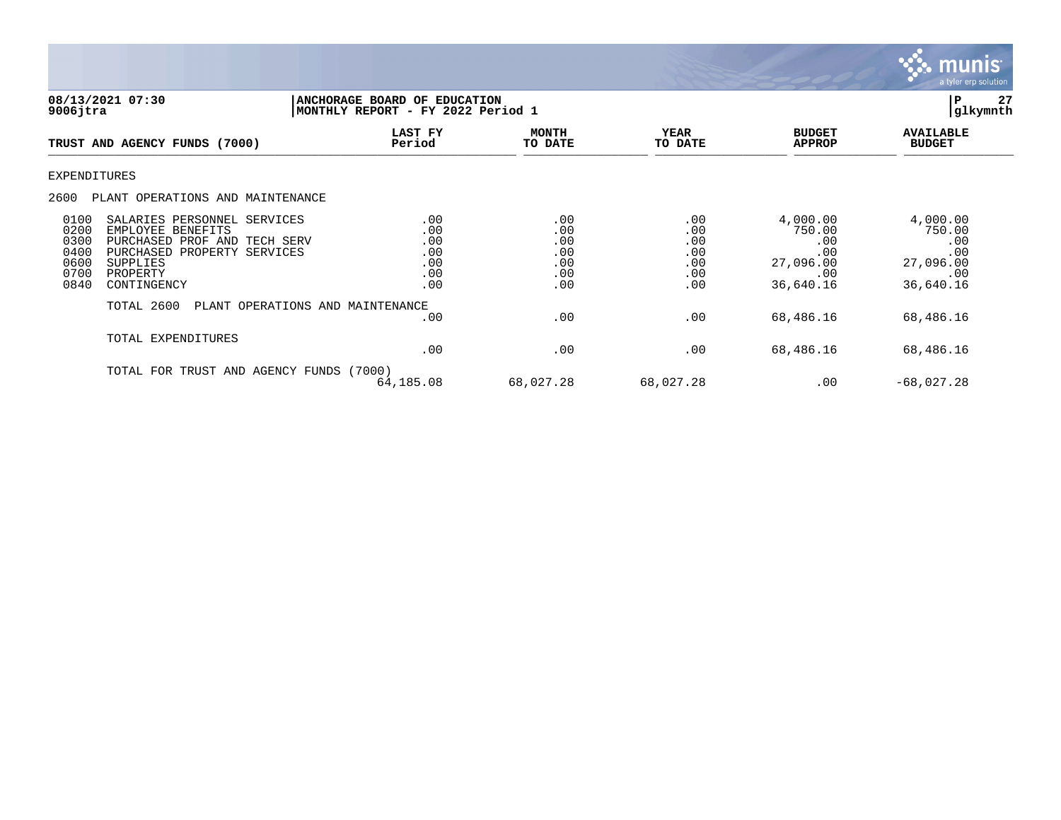

**08/13/2021 07:30 |ANCHORAGE BOARD OF EDUCATION |P 27 9006jtra |MONTHLY REPORT - FY 2022 Period 1 |glkymnth LAST FY MONTH YEAR BUDGET AVAILABLE TRUST AND AGENCY FUNDS (7000) Period TO DATE TO DATE APPROP BUDGET**  \_\_\_\_\_\_\_\_\_\_\_\_\_\_\_\_\_\_\_\_\_\_\_\_\_\_\_\_\_\_\_\_\_\_\_\_\_\_\_\_\_\_\_\_\_\_\_\_\_\_\_\_\_\_\_\_\_\_\_\_\_\_\_\_ \_\_\_\_\_\_\_\_\_\_\_\_\_\_\_\_\_ \_\_\_\_\_\_\_\_\_\_\_\_\_\_\_\_\_\_ \_\_\_\_\_\_\_\_\_\_\_\_\_\_ \_\_\_\_\_\_\_\_\_\_\_\_\_\_\_ EXPENDITURES 2600 PLANT OPERATIONS AND MAINTENANCE 0100 SALARIES PERSONNEL SERVICES .00 .00 .00 4,000.00 4,000.00 0200 EMPLOYEE BENEFITS .00 .00 .00 750.00 750.00 0300 PURCHASED PROF AND TECH SERV .00 .00 .00 .00 .00 0400 PURCHASED PROPERTY SERVICES .00 .00 .00 .00 .00 0600 SUPPLIES .00 .00 .00 27,096.00 27,096.00 0700 PROPERTY .00 .00 .00 .00 .00 0840 CONTINGENCY .00 .00 .00 .00 .00 .00 .00 .00 .00 36,640.16 36,640.16 TOTAL 2600 PLANT OPERATIONS AND MAINTENANCE  $.00$   $.00$   $.00$   $.68,486.16$   $.68,486.16$ TOTAL EXPENDITURES  $.00$   $.00$   $.00$   $.68,486.16$   $.16$   $.68,486.16$ TOTAL FOR TRUST AND AGENCY FUNDS (7000) 64,185.08 68,027.28 68,027.28 .00 -68,027.28